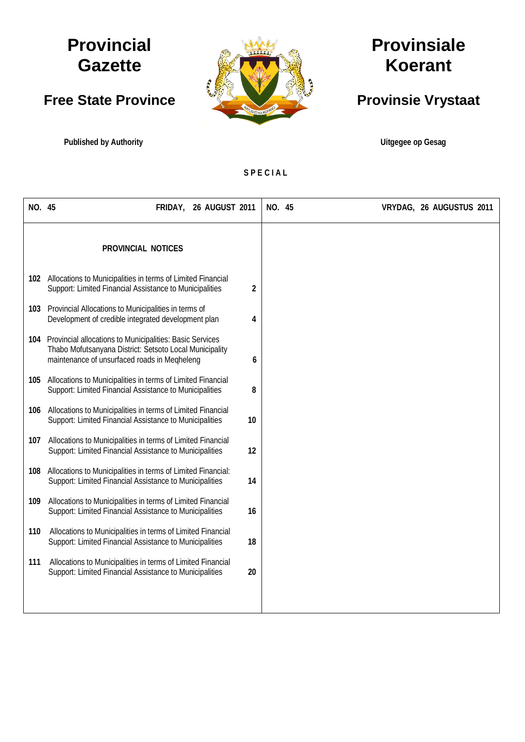## **Provincial Gazette**

## **Free State Province**

**Published by Authority Contract of Contract and Contract and Contract and Contract and Contract and Contract and Contract and Contract and Contract and Contract and Contract and Contract and Contract and Contract and Co** 



# **Provinsiale Koerant**

## **Provinsie Vrystaat**

**S P E C I A L**

| NO. 45 |                                                                                                                                                                     | FRIDAY, 26 AUGUST 2011 |    | NO. 45 | VRYDAG, 26 AUGUSTUS 2011 |
|--------|---------------------------------------------------------------------------------------------------------------------------------------------------------------------|------------------------|----|--------|--------------------------|
|        | PROVINCIAL NOTICES                                                                                                                                                  |                        |    |        |                          |
|        | 102 Allocations to Municipalities in terms of Limited Financial<br>Support: Limited Financial Assistance to Municipalities                                          |                        | 2  |        |                          |
| 103    | Provincial Allocations to Municipalities in terms of<br>Development of credible integrated development plan                                                         |                        | 4  |        |                          |
| 104    | Provincial allocations to Municipalities: Basic Services<br>Thabo Mofutsanyana District: Setsoto Local Municipality<br>maintenance of unsurfaced roads in Megheleng |                        | 6  |        |                          |
| 105    | Allocations to Municipalities in terms of Limited Financial<br>Support: Limited Financial Assistance to Municipalities                                              |                        | 8  |        |                          |
| 106    | Allocations to Municipalities in terms of Limited Financial<br>Support: Limited Financial Assistance to Municipalities                                              |                        | 10 |        |                          |
| 107    | Allocations to Municipalities in terms of Limited Financial<br>Support: Limited Financial Assistance to Municipalities                                              |                        | 12 |        |                          |
| 108    | Allocations to Municipalities in terms of Limited Financial:<br>Support: Limited Financial Assistance to Municipalities                                             |                        | 14 |        |                          |
| 109    | Allocations to Municipalities in terms of Limited Financial<br>Support: Limited Financial Assistance to Municipalities                                              |                        | 16 |        |                          |
| 110    | Allocations to Municipalities in terms of Limited Financial<br>Support: Limited Financial Assistance to Municipalities                                              |                        | 18 |        |                          |
| 111    | Allocations to Municipalities in terms of Limited Financial<br>Support: Limited Financial Assistance to Municipalities                                              |                        | 20 |        |                          |
|        |                                                                                                                                                                     |                        |    |        |                          |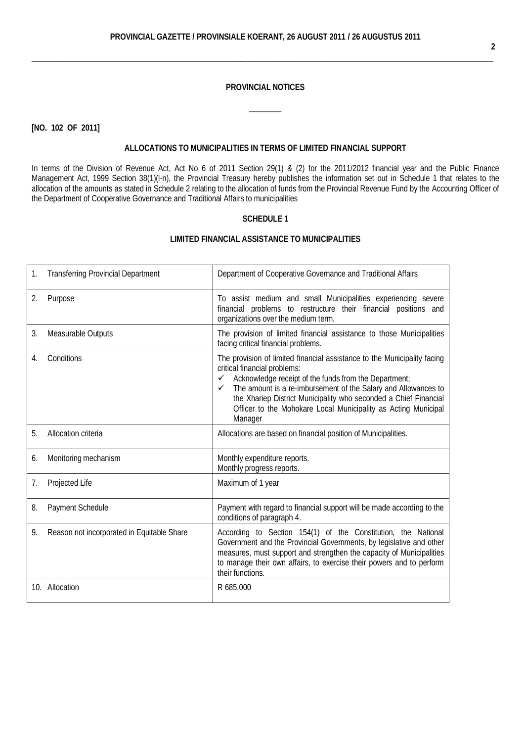#### **PROVINCIAL NOTICES**

 $\overline{\phantom{a}}$ 

**[NO. 102 OF 2011]**

#### **ALLOCATIONS TO MUNICIPALITIES IN TERMS OF LIMITED FINANCIAL SUPPORT**

In terms of the [Division of Revenue Act,](http://greengazette.co.za/acts/division-of-revenue-act_1998-028) [Act](http://greengazette.co.za/acts/act_1969-049) No 6 of 2011 Section 29(1) & (2) for the 2011/2012 financial year and the Public [Finance](http://greengazette.co.za/acts/public-finance-management-act_1999-001)  [Management Act,](http://greengazette.co.za/acts/public-finance-management-act_1999-001) 1999 Section 38(1)(l-n), the Provincial Treasury hereby publishes the information set out in Schedule 1 that relates to the allocation of the amounts as stated in Schedule 2 relating to the allocation of funds from the Provincial Revenue Fund by the Accounting Officer of the [Department of Cooperative Governance](http://greengazette.co.za/departments/governance) and Traditional Affairs to municipalities

## **SCHEDULE 1**

| 1. | <b>Transferring Provincial Department</b>  | Department of Cooperative Governance and Traditional Affairs                                                                                                                                                                                                                                                                                                                                              |
|----|--------------------------------------------|-----------------------------------------------------------------------------------------------------------------------------------------------------------------------------------------------------------------------------------------------------------------------------------------------------------------------------------------------------------------------------------------------------------|
| 2. | Purpose                                    | To assist medium and small Municipalities experiencing severe<br>financial problems to restructure their financial positions and<br>organizations over the medium term.                                                                                                                                                                                                                                   |
| 3. | Measurable Outputs                         | The provision of limited financial assistance to those Municipalities<br>facing critical financial problems.                                                                                                                                                                                                                                                                                              |
| 4. | Conditions                                 | The provision of limited financial assistance to the Municipality facing<br>critical financial problems:<br>Acknowledge receipt of the funds from the Department;<br>$\checkmark$<br>The amount is a re-imbursement of the Salary and Allowances to<br>✓<br>the Xhariep District Municipality who seconded a Chief Financial<br>Officer to the Mohokare Local Municipality as Acting Municipal<br>Manager |
| 5. | Allocation criteria                        | Allocations are based on financial position of Municipalities.                                                                                                                                                                                                                                                                                                                                            |
| 6. | Monitoring mechanism                       | Monthly expenditure reports.<br>Monthly progress reports.                                                                                                                                                                                                                                                                                                                                                 |
| 7. | Projected Life                             | Maximum of 1 year                                                                                                                                                                                                                                                                                                                                                                                         |
| 8. | Payment Schedule                           | Payment with regard to financial support will be made according to the<br>conditions of paragraph 4.                                                                                                                                                                                                                                                                                                      |
| 9. | Reason not incorporated in Equitable Share | According to Section 154(1) of the Constitution, the National<br>Government and the Provincial Governments, by legislative and other<br>measures, must support and strengthen the capacity of Municipalities<br>to manage their own affairs, to exercise their powers and to perform<br>their functions.                                                                                                  |
|    | 10. Allocation                             | R 685,000                                                                                                                                                                                                                                                                                                                                                                                                 |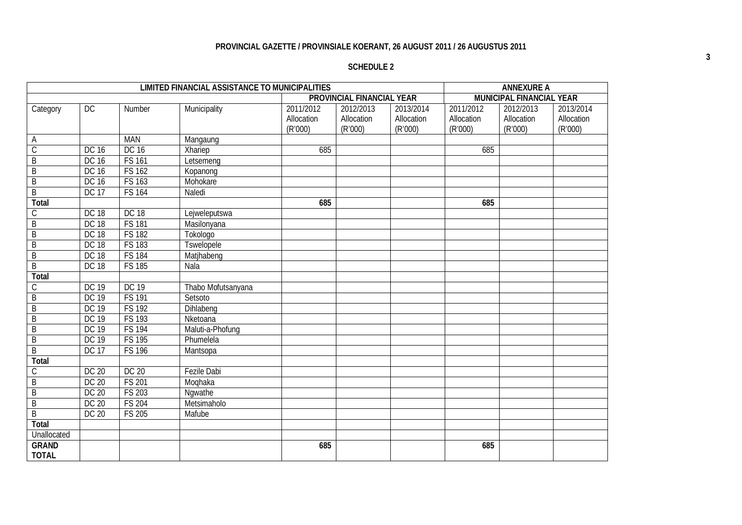## **SCHEDULE 2**

|                |              |               | <b>LIMITED FINANCIAL ASSISTANCE TO MUNICIPALITIES</b> |            |                           |            |            | <b>ANNEXURE A</b>        |            |
|----------------|--------------|---------------|-------------------------------------------------------|------------|---------------------------|------------|------------|--------------------------|------------|
|                |              |               |                                                       |            | PROVINCIAL FINANCIAL YEAR |            |            | MUNICIPAL FINANCIAL YEAR |            |
| Category       | DC           | Number        | Municipality                                          | 2011/2012  | 2012/2013                 | 2013/2014  | 2011/2012  | 2012/2013                | 2013/2014  |
|                |              |               |                                                       | Allocation | Allocation                | Allocation | Allocation | Allocation               | Allocation |
|                |              |               |                                                       | (R'000)    | (R'000)                   | (R'000)    | (R'000)    | (R'000)                  | (R'000)    |
| A              |              | <b>MAN</b>    | Mangaung                                              |            |                           |            |            |                          |            |
| $\overline{C}$ | DC 16        | DC 16         | Xhariep                                               | 685        |                           |            | 685        |                          |            |
| $\overline{B}$ | DC 16        | <b>FS 161</b> | Letsemeng                                             |            |                           |            |            |                          |            |
| B              | DC 16        | <b>FS 162</b> | Kopanong                                              |            |                           |            |            |                          |            |
| B              | DC 16        | <b>FS 163</b> | Mohokare                                              |            |                           |            |            |                          |            |
| $\overline{B}$ | <b>DC 17</b> | <b>FS 164</b> | Naledi                                                |            |                           |            |            |                          |            |
| Total          |              |               |                                                       | 685        |                           |            | 685        |                          |            |
| C              | <b>DC 18</b> | <b>DC 18</b>  | Lejweleputswa                                         |            |                           |            |            |                          |            |
| B              | <b>DC 18</b> | <b>FS 181</b> | Masilonyana                                           |            |                           |            |            |                          |            |
| $\overline{B}$ | <b>DC 18</b> | <b>FS 182</b> | Tokologo                                              |            |                           |            |            |                          |            |
| $\overline{B}$ | <b>DC 18</b> | <b>FS 183</b> | <b>Tswelopele</b>                                     |            |                           |            |            |                          |            |
| B              | <b>DC 18</b> | <b>FS 184</b> | Matjhabeng                                            |            |                           |            |            |                          |            |
| $\overline{B}$ | <b>DC 18</b> | <b>FS 185</b> | Nala                                                  |            |                           |            |            |                          |            |
| Total          |              |               |                                                       |            |                           |            |            |                          |            |
| $\mathcal{C}$  | <b>DC 19</b> | DC 19         | Thabo Mofutsanyana                                    |            |                           |            |            |                          |            |
| B              | <b>DC 19</b> | <b>FS 191</b> | Setsoto                                               |            |                           |            |            |                          |            |
| $\overline{B}$ | <b>DC 19</b> | <b>FS 192</b> | Dihlabeng                                             |            |                           |            |            |                          |            |
| B              | <b>DC 19</b> | <b>FS 193</b> | Nketoana                                              |            |                           |            |            |                          |            |
| $\mathsf B$    | DC 19        | <b>FS 194</b> | Maluti-a-Phofung                                      |            |                           |            |            |                          |            |
| $\overline{B}$ | DC 19        | <b>FS 195</b> | Phumelela                                             |            |                           |            |            |                          |            |
| $\overline{B}$ | <b>DC 17</b> | <b>FS 196</b> | Mantsopa                                              |            |                           |            |            |                          |            |
| Total          |              |               |                                                       |            |                           |            |            |                          |            |
| $\mathsf C$    | <b>DC 20</b> | <b>DC 20</b>  | <b>Fezile Dabi</b>                                    |            |                           |            |            |                          |            |
| B              | DC 20        | <b>FS 201</b> | Moqhaka                                               |            |                           |            |            |                          |            |
| $\overline{B}$ | DC 20        | <b>FS 203</b> | Nqwathe                                               |            |                           |            |            |                          |            |
| B              | DC 20        | <b>FS 204</b> | Metsimaholo                                           |            |                           |            |            |                          |            |
| $\overline{B}$ | DC 20        | <b>FS 205</b> | Mafube                                                |            |                           |            |            |                          |            |
| Total          |              |               |                                                       |            |                           |            |            |                          |            |
| Unallocated    |              |               |                                                       |            |                           |            |            |                          |            |
| <b>GRAND</b>   |              |               |                                                       | 685        |                           |            | 685        |                          |            |
| <b>TOTAL</b>   |              |               |                                                       |            |                           |            |            |                          |            |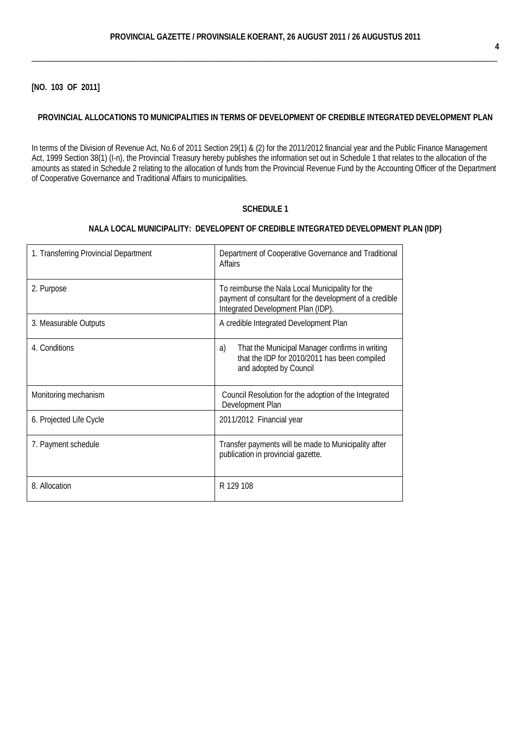**[NO. 103 OF 2011]**

#### **PROVINCIAL ALLOCATIONS TO MUNICIPALITIES IN TERMS OF DEVELOPMENT OF CREDIBLE INTEGRATED DEVELOPMENT PLAN**

In terms of the [Division of Revenue Act,](http://greengazette.co.za/acts/division-of-revenue-act_1998-028) No.6 of 2011 Section 29(1) & (2) for the 2011/2012 financial year and the [Public Finance Management](http://greengazette.co.za/acts/public-finance-management-act_1999-001) [Act,](http://greengazette.co.za/acts/public-finance-management-act_1999-001) 1999 Section 38(1) (I-n), the Provincial Treasury hereby publishes the information set out in Schedule 1 that relates to the allocation of the amounts as stated in Schedule 2 relating to the allocation of funds from the Provincial Revenue Fund by the Accounting Officer of the [Department](http://greengazette.co.za/departments/governance) [of Cooperative Governance](http://greengazette.co.za/departments/governance) and Traditional Affairs to municipalities.

## **SCHEDULE 1**

## **NALA LOCAL MUNICIPALITY: DEVELOPENT OF CREDIBLE INTEGRATED DEVELOPMENT PLAN (IDP)**

| 1. Transferring Provincial Department | Department of Cooperative Governance and Traditional<br>Affairs                                                                                   |
|---------------------------------------|---------------------------------------------------------------------------------------------------------------------------------------------------|
| 2. Purpose                            | To reimburse the Nala Local Municipality for the<br>payment of consultant for the development of a credible<br>Integrated Development Plan (IDP). |
| 3. Measurable Outputs                 | A credible Integrated Development Plan                                                                                                            |
| 4. Conditions                         | That the Municipal Manager confirms in writing<br>a)<br>that the IDP for 2010/2011 has been compiled<br>and adopted by Council                    |
| Monitoring mechanism                  | Council Resolution for the adoption of the Integrated<br>Development Plan                                                                         |
| 6. Projected Life Cycle               | 2011/2012 Financial year                                                                                                                          |
| 7. Payment schedule                   | Transfer payments will be made to Municipality after<br>publication in provincial gazette.                                                        |
| 8. Allocation                         | R 129 108                                                                                                                                         |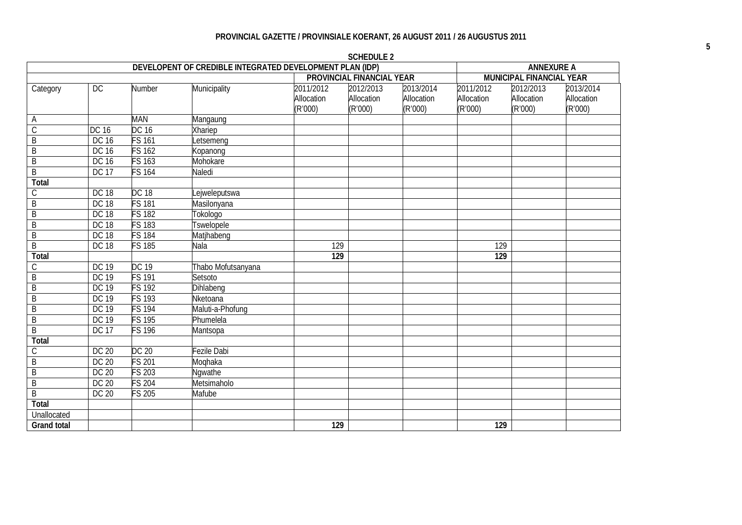| DEVELOPENT OF CREDIBLE INTEGRATED DEVELOPMENT PLAN (IDP) |              |                    |                    |                  |                           |            | <b>ANNEXURE A</b> |                          |            |  |
|----------------------------------------------------------|--------------|--------------------|--------------------|------------------|---------------------------|------------|-------------------|--------------------------|------------|--|
|                                                          |              |                    |                    |                  | PROVINCIAL FINANCIAL YEAR |            |                   | MUNICIPAL FINANCIAL YEAR |            |  |
| Category                                                 | DC           | Number             | Municipality       | 2011/2012        | 2012/2013                 | 2013/2014  | 2011/2012         | 2012/2013                | 2013/2014  |  |
|                                                          |              |                    |                    | Allocation       | Allocation                | Allocation | Allocation        | Allocation               | Allocation |  |
|                                                          |              |                    |                    | (R'000)          | (R'000)                   | (R'000)    | (R'000)           | (R'000)                  | (R'000)    |  |
| Α                                                        |              | <b>MAN</b>         | Mangaung           |                  |                           |            |                   |                          |            |  |
| $\overline{C}$                                           | <b>DC 16</b> | <b>DC 16</b>       | Xhariep            |                  |                           |            |                   |                          |            |  |
| $\overline{B}$                                           | DC 16        | $FS$ 161           | _etsemeng          |                  |                           |            |                   |                          |            |  |
| B                                                        | DC 16        | FS 162             | Kopanong           |                  |                           |            |                   |                          |            |  |
| $\overline{B}$                                           | DC 16        | FS 163             | Mohokare           |                  |                           |            |                   |                          |            |  |
| B                                                        | <b>DC 17</b> | <b>FS 164</b>      | Naledi             |                  |                           |            |                   |                          |            |  |
| <b>Total</b>                                             |              |                    |                    |                  |                           |            |                   |                          |            |  |
| $\mathsf C$                                              | <b>DC 18</b> | <b>DC 18</b>       | ejweleputswa       |                  |                           |            |                   |                          |            |  |
| $\overline{B}$                                           | <b>DC 18</b> | $FS$ 181           | Masilonyana        |                  |                           |            |                   |                          |            |  |
| $\overline{B}$                                           | <b>DC 18</b> | $\overline{S}$ 182 | Tokologo           |                  |                           |            |                   |                          |            |  |
| $\overline{B}$                                           | <b>DC 18</b> | $FS$ 183           | Tswelopele         |                  |                           |            |                   |                          |            |  |
| $\overline{B}$                                           | <b>DC 18</b> | <b>FS 184</b>      | Matjhabeng         |                  |                           |            |                   |                          |            |  |
| $\overline{B}$                                           | <b>DC 18</b> | FS 185             | Nala               | 129              |                           |            | 129               |                          |            |  |
| <b>Total</b>                                             |              |                    |                    | 129              |                           |            | 129               |                          |            |  |
| $\mathsf C$                                              | <b>DC 19</b> | DC 19              | Thabo Mofutsanyana |                  |                           |            |                   |                          |            |  |
| $\overline{B}$                                           | <b>DC 19</b> | $FS$ 191           | Setsoto            |                  |                           |            |                   |                          |            |  |
| $\overline{B}$                                           | <b>DC 19</b> | $\overline{S}$ 192 | Dihlabeng          |                  |                           |            |                   |                          |            |  |
| B                                                        | <b>DC 19</b> | $\frac{1}{5}$ 193  | Nketoana           |                  |                           |            |                   |                          |            |  |
| $\overline{B}$                                           | <b>DC 19</b> | $FS$ 194           | Maluti-a-Phofung   |                  |                           |            |                   |                          |            |  |
| $\overline{B}$                                           | <b>DC 19</b> | <b>FS 195</b>      | Phumelela          |                  |                           |            |                   |                          |            |  |
| $\overline{B}$                                           | <b>DC 17</b> | <b>FS 196</b>      | Mantsopa           |                  |                           |            |                   |                          |            |  |
| <b>Total</b>                                             |              |                    |                    |                  |                           |            |                   |                          |            |  |
| $\mathsf C$                                              | DC 20        | <b>DC 20</b>       | Fezile Dabi        |                  |                           |            |                   |                          |            |  |
| $\overline{\mathsf{B}}$                                  | <b>DC 20</b> | $FS$ 201           | Moqhaka            |                  |                           |            |                   |                          |            |  |
| $\overline{B}$                                           | DC 20        | $FS$ 203           | Ngwathe            |                  |                           |            |                   |                          |            |  |
| $\overline{B}$                                           | DC 20        | $FS$ 204           | <b>Metsimaholo</b> |                  |                           |            |                   |                          |            |  |
| B                                                        | DC 20        | $FS$ 205           | Mafube             |                  |                           |            |                   |                          |            |  |
| Total                                                    |              |                    |                    |                  |                           |            |                   |                          |            |  |
| Unallocated                                              |              |                    |                    |                  |                           |            |                   |                          |            |  |
| <b>Grand total</b>                                       |              |                    |                    | $\overline{129}$ |                           |            | $\overline{129}$  |                          |            |  |

**SCHEDULE 2**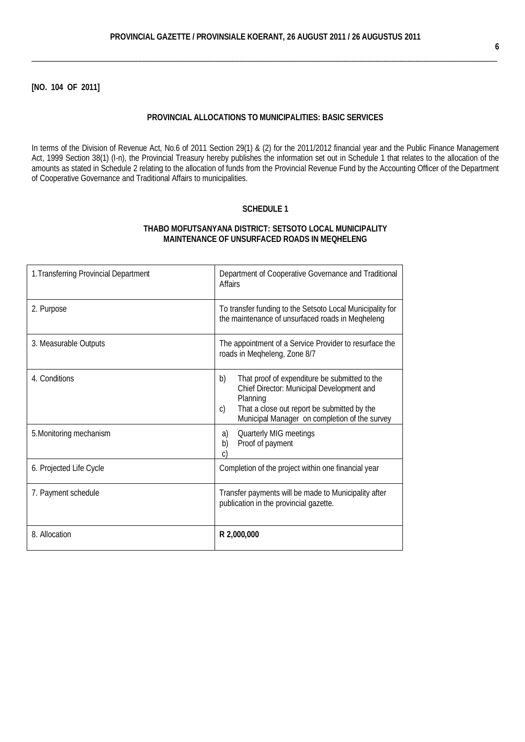**[NO. 104 OF 2011]**

#### **PROVINCIAL ALLOCATIONS TO MUNICIPALITIES: BASIC SERVICES**

In terms of the [Division of Revenue Act,](http://greengazette.co.za/acts/division-of-revenue-act_1998-028) No.6 of 2011 Section 29(1) & (2) for the 2011/2012 financial year and the [Public Finance Management](http://greengazette.co.za/acts/public-finance-management-act_1999-001) [Act,](http://greengazette.co.za/acts/public-finance-management-act_1999-001) 1999 Section 38(1) (I-n), the Provincial Treasury hereby publishes the information set out in Schedule 1 that relates to the allocation of the amounts as stated in Schedule 2 relating to the allocation of funds from the Provincial Revenue Fund by the Accounting Officer of the [Department](http://greengazette.co.za/departments/governance) [of Cooperative Governance](http://greengazette.co.za/departments/governance) and Traditional Affairs to municipalities.

## **SCHEDULE 1**

#### **THABO MOFUTSANYANA DISTRICT: SETSOTO LOCAL MUNICIPALITY MAINTENANCE OF UNSURFACED ROADS IN MEQHELENG**

| 1. Transferring Provincial Department | Department of Cooperative Governance and Traditional<br><b>Affairs</b>                                                                                                                                             |  |  |  |  |
|---------------------------------------|--------------------------------------------------------------------------------------------------------------------------------------------------------------------------------------------------------------------|--|--|--|--|
| 2. Purpose                            | To transfer funding to the Setsoto Local Municipality for<br>the maintenance of unsurfaced roads in Megheleng                                                                                                      |  |  |  |  |
| 3. Measurable Outputs                 | The appointment of a Service Provider to resurface the<br>roads in Megheleng, Zone 8/7                                                                                                                             |  |  |  |  |
| 4. Conditions                         | b)<br>That proof of expenditure be submitted to the<br>Chief Director: Municipal Development and<br>Planning<br>That a close out report be submitted by the<br>C)<br>Municipal Manager on completion of the survey |  |  |  |  |
| 5. Monitoring mechanism               | Quarterly MIG meetings<br>a)<br>Proof of payment<br>b)<br>C,                                                                                                                                                       |  |  |  |  |
| 6. Projected Life Cycle               | Completion of the project within one financial year                                                                                                                                                                |  |  |  |  |
| 7. Payment schedule                   | Transfer payments will be made to Municipality after<br>publication in the provincial gazette.                                                                                                                     |  |  |  |  |
| 8. Allocation                         | R 2,000,000                                                                                                                                                                                                        |  |  |  |  |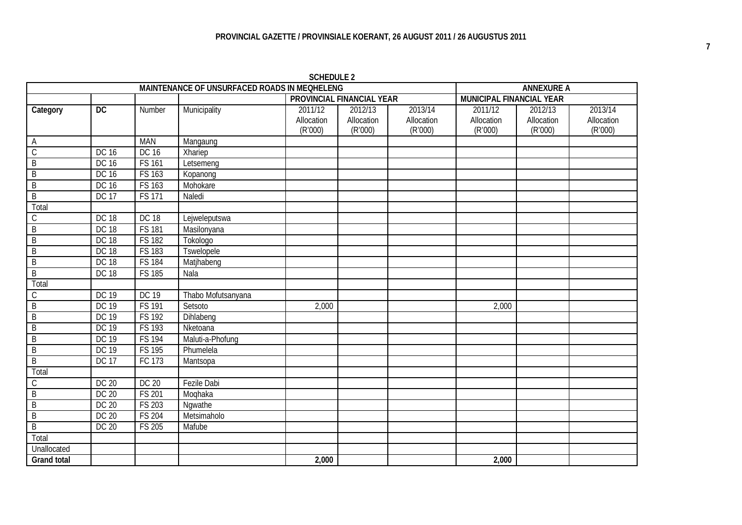|                    |                 |               | MAINTENANCE OF UNSURFACED ROADS IN MEQHELENG |            |                           |            | <b>ANNEXURE A</b>        |            |            |
|--------------------|-----------------|---------------|----------------------------------------------|------------|---------------------------|------------|--------------------------|------------|------------|
|                    |                 |               |                                              |            | PROVINCIAL FINANCIAL YEAR |            | MUNICIPAL FINANCIAL YEAR |            |            |
| Category           | $\overline{DC}$ | Number        | Municipality                                 | 2011/12    | 2012/13                   | 2013/14    | 2011/12                  | 2012/13    | 2013/14    |
|                    |                 |               |                                              | Allocation | Allocation                | Allocation | Allocation               | Allocation | Allocation |
|                    |                 |               |                                              | (R'000)    | (R'000)                   | (R'000)    | (R'000)                  | (R'000)    | (R'000)    |
| A                  |                 | <b>MAN</b>    | Mangaung                                     |            |                           |            |                          |            |            |
| $\mathsf C$        | DC 16           | <b>DC 16</b>  | Xhariep                                      |            |                           |            |                          |            |            |
| $\overline{B}$     | DC 16           | <b>FS 161</b> | Letsemeng                                    |            |                           |            |                          |            |            |
| B                  | DC 16           | FS 163        | Kopanong                                     |            |                           |            |                          |            |            |
| $\overline{B}$     | DC 16           | FS 163        | Mohokare                                     |            |                           |            |                          |            |            |
| $\overline{B}$     | <b>DC 17</b>    | <b>FS 171</b> | Naledi                                       |            |                           |            |                          |            |            |
| Total              |                 |               |                                              |            |                           |            |                          |            |            |
| С                  | <b>DC 18</b>    | <b>DC 18</b>  | Lejweleputswa                                |            |                           |            |                          |            |            |
| $\overline{B}$     | <b>DC 18</b>    | <b>FS 181</b> | Masilonyana                                  |            |                           |            |                          |            |            |
| B                  | <b>DC 18</b>    | <b>FS 182</b> | Tokologo                                     |            |                           |            |                          |            |            |
| $\overline{B}$     | <b>DC 18</b>    | <b>FS 183</b> | Tswelopele                                   |            |                           |            |                          |            |            |
| $\overline{B}$     | <b>DC 18</b>    | <b>FS 184</b> | Matjhabeng                                   |            |                           |            |                          |            |            |
| $\overline{B}$     | <b>DC 18</b>    | <b>FS 185</b> | Nala                                         |            |                           |            |                          |            |            |
| Total              |                 |               |                                              |            |                           |            |                          |            |            |
| С                  | DC 19           | <b>DC 19</b>  | Thabo Mofutsanyana                           |            |                           |            |                          |            |            |
| $\overline{B}$     | DC 19           | <b>FS 191</b> | Setsoto                                      | 2,000      |                           |            | 2,000                    |            |            |
| B                  | DC 19           | <b>FS 192</b> | Dihlabeng                                    |            |                           |            |                          |            |            |
| $\overline{B}$     | DC 19           | <b>FS 193</b> | Nketoana                                     |            |                           |            |                          |            |            |
| $\overline{B}$     | <b>DC 19</b>    | <b>FS 194</b> | Maluti-a-Phofung                             |            |                           |            |                          |            |            |
| $\overline{B}$     | DC 19           | <b>FS 195</b> | Phumelela                                    |            |                           |            |                          |            |            |
| $\overline{B}$     | <b>DC 17</b>    | FC 173        | Mantsopa                                     |            |                           |            |                          |            |            |
| Total              |                 |               |                                              |            |                           |            |                          |            |            |
| $\overline{C}$     | DC 20           | DC 20         | <b>Fezile Dabi</b>                           |            |                           |            |                          |            |            |
| $\overline{B}$     | DC 20           | <b>FS 201</b> | Moqhaka                                      |            |                           |            |                          |            |            |
| $\overline{B}$     | DC 20           | FS 203        | Ngwathe                                      |            |                           |            |                          |            |            |
| $\overline{B}$     | DC 20           | <b>FS 204</b> | Metsimaholo                                  |            |                           |            |                          |            |            |
| $\overline{B}$     | DC 20           | <b>FS 205</b> | Mafube                                       |            |                           |            |                          |            |            |
| Total              |                 |               |                                              |            |                           |            |                          |            |            |
| Unallocated        |                 |               |                                              |            |                           |            |                          |            |            |
| <b>Grand total</b> |                 |               |                                              | 2,000      |                           |            | 2,000                    |            |            |

**SCHEDULE 2**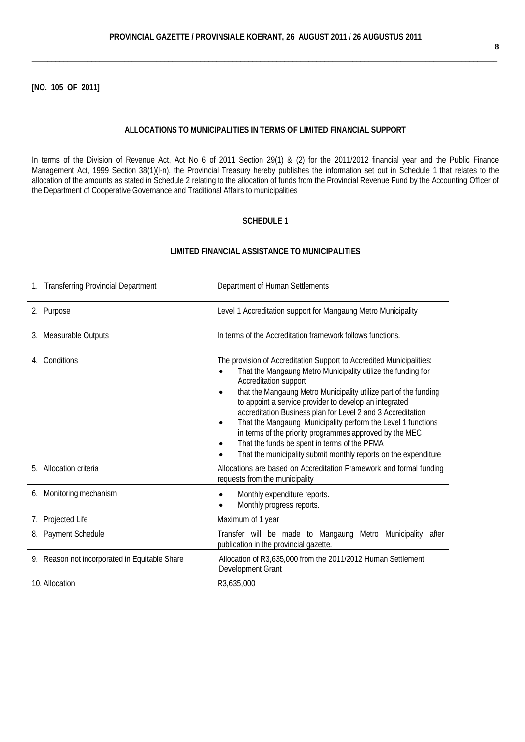**[NO. 105 OF 2011]**

#### **ALLOCATIONS TO MUNICIPALITIES IN TERMS OF LIMITED FINANCIAL SUPPORT**

In terms of the [Division of Revenue Act,](http://greengazette.co.za/acts/division-of-revenue-act_1998-028) [Act](http://greengazette.co.za/acts/act_1969-049) No 6 of 2011 Section 29(1) & (2) for the 2011/2012 financial year and the [Public Finance](http://greengazette.co.za/acts/public-finance-management-act_1999-001) [Management Act,](http://greengazette.co.za/acts/public-finance-management-act_1999-001) 1999 Section 38(1)(l-n), the Provincial Treasury hereby publishes the information set out in Schedule 1 that relates to the allocation of the amounts as stated in Schedule 2 relating to the allocation of funds from the Provincial Revenue Fund by the Accounting Officer of the [Department of Cooperative Governance](http://greengazette.co.za/departments/governance) and Traditional Affairs to municipalities

#### **SCHEDULE 1**

| <b>Transferring Provincial Department</b>     | Department of Human Settlements                                                                                                                                                                                                                                                                                                                                                                                                                                                                                                                                                                                                                 |
|-----------------------------------------------|-------------------------------------------------------------------------------------------------------------------------------------------------------------------------------------------------------------------------------------------------------------------------------------------------------------------------------------------------------------------------------------------------------------------------------------------------------------------------------------------------------------------------------------------------------------------------------------------------------------------------------------------------|
| 2. Purpose                                    | Level 1 Accreditation support for Mangaung Metro Municipality                                                                                                                                                                                                                                                                                                                                                                                                                                                                                                                                                                                   |
| 3. Measurable Outputs                         | In terms of the Accreditation framework follows functions.                                                                                                                                                                                                                                                                                                                                                                                                                                                                                                                                                                                      |
| Conditions<br>4.                              | The provision of Accreditation Support to Accredited Municipalities:<br>That the Mangaung Metro Municipality utilize the funding for<br>$\bullet$<br>Accreditation support<br>that the Mangaung Metro Municipality utilize part of the funding<br>$\bullet$<br>to appoint a service provider to develop an integrated<br>accreditation Business plan for Level 2 and 3 Accreditation<br>That the Mangaung Municipality perform the Level 1 functions<br>$\bullet$<br>in terms of the priority programmes approved by the MEC<br>That the funds be spent in terms of the PFMA<br>That the municipality submit monthly reports on the expenditure |
| 5. Allocation criteria                        | Allocations are based on Accreditation Framework and formal funding<br>requests from the municipality                                                                                                                                                                                                                                                                                                                                                                                                                                                                                                                                           |
| Monitoring mechanism<br>6.                    | Monthly expenditure reports.<br>$\bullet$<br>Monthly progress reports.                                                                                                                                                                                                                                                                                                                                                                                                                                                                                                                                                                          |
| 7. Projected Life                             | Maximum of 1 year                                                                                                                                                                                                                                                                                                                                                                                                                                                                                                                                                                                                                               |
| 8. Payment Schedule                           | Transfer will be made to Mangaung Metro Municipality<br>after<br>publication in the provincial gazette.                                                                                                                                                                                                                                                                                                                                                                                                                                                                                                                                         |
| 9. Reason not incorporated in Equitable Share | Allocation of R3,635,000 from the 2011/2012 Human Settlement<br>Development Grant                                                                                                                                                                                                                                                                                                                                                                                                                                                                                                                                                               |
| 10. Allocation                                | R3,635,000                                                                                                                                                                                                                                                                                                                                                                                                                                                                                                                                                                                                                                      |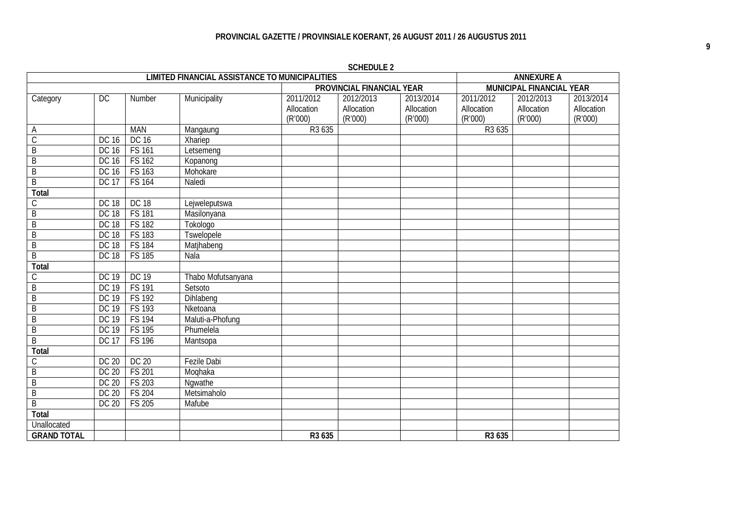| <b>LIMITED FINANCIAL ASSISTANCE TO MUNICIPALITIES</b> |              |               |                    |                           |            |            | <b>ANNEXURE A</b>        |            |            |
|-------------------------------------------------------|--------------|---------------|--------------------|---------------------------|------------|------------|--------------------------|------------|------------|
|                                                       |              |               |                    | PROVINCIAL FINANCIAL YEAR |            |            | MUNICIPAL FINANCIAL YEAR |            |            |
| Category                                              | DC           | Number        | Municipality       | 2011/2012                 | 2012/2013  | 2013/2014  | 2011/2012                | 2012/2013  | 2013/2014  |
|                                                       |              |               |                    | Allocation                | Allocation | Allocation | Allocation               | Allocation | Allocation |
|                                                       |              |               |                    | (R'000)                   | (R'000)    | (R'000)    | (R'000)                  | (R'000)    | (R'000)    |
| А                                                     |              | <b>MAN</b>    | Mangaung           | R <sub>3</sub> 635        |            |            | R3 635                   |            |            |
| $\mathsf C$                                           | <b>DC 16</b> | DC 16         | Xhariep            |                           |            |            |                          |            |            |
| $\overline{B}$                                        | <b>DC 16</b> | <b>FS 161</b> | Letsemeng          |                           |            |            |                          |            |            |
| B                                                     | DC 16        | FS 162        | Kopanong           |                           |            |            |                          |            |            |
| $\overline{B}$                                        | DC 16        | FS 163        | Mohokare           |                           |            |            |                          |            |            |
| $\overline{B}$                                        | <b>DC 17</b> | <b>FS 164</b> | Naledi             |                           |            |            |                          |            |            |
| Total                                                 |              |               |                    |                           |            |            |                          |            |            |
| С                                                     | <b>DC 18</b> | DC 18         | Lejweleputswa      |                           |            |            |                          |            |            |
| B                                                     | <b>DC 18</b> | <b>FS 181</b> | Masilonyana        |                           |            |            |                          |            |            |
| $\overline{B}$                                        | <b>DC 18</b> | <b>FS182</b>  | Tokologo           |                           |            |            |                          |            |            |
| $\overline{B}$                                        | <b>DC 18</b> | FS 183        | <b>Tswelopele</b>  |                           |            |            |                          |            |            |
| B                                                     | <b>DC 18</b> | <b>FS 184</b> | Matjhabeng         |                           |            |            |                          |            |            |
| $\overline{B}$                                        | <b>DC 18</b> | FS 185        | Nala               |                           |            |            |                          |            |            |
| <b>Total</b>                                          |              |               |                    |                           |            |            |                          |            |            |
| С                                                     | <b>DC 19</b> | DC 19         | Thabo Mofutsanyana |                           |            |            |                          |            |            |
| B                                                     | <b>DC 19</b> | <b>FS 191</b> | Setsoto            |                           |            |            |                          |            |            |
| B                                                     | <b>DC 19</b> | <b>FS192</b>  | Dihlabeng          |                           |            |            |                          |            |            |
| $\overline{B}$                                        | <b>DC 19</b> | FS 193        | Nketoana           |                           |            |            |                          |            |            |
| B                                                     | DC 19        | <b>FS 194</b> | Maluti-a-Phofung   |                           |            |            |                          |            |            |
| $\overline{B}$                                        | <b>DC 19</b> | FS 195        | Phumelela          |                           |            |            |                          |            |            |
| $\overline{B}$                                        | <b>DC 17</b> | <b>FS 196</b> | Mantsopa           |                           |            |            |                          |            |            |
| <b>Total</b>                                          |              |               |                    |                           |            |            |                          |            |            |
| С                                                     | <b>DC 20</b> | DC 20         | <b>Fezile Dabi</b> |                           |            |            |                          |            |            |
| $\overline{B}$                                        | <b>DC 20</b> | FS 201        | Moqhaka            |                           |            |            |                          |            |            |
| $\overline{B}$                                        | <b>DC 20</b> | FS 203        | Ngwathe            |                           |            |            |                          |            |            |
| $\overline{B}$                                        | <b>DC 20</b> | <b>FS 204</b> | Metsimaholo        |                           |            |            |                          |            |            |
| $\overline{B}$                                        | <b>DC 20</b> | FS 205        | Mafube             |                           |            |            |                          |            |            |
| Total                                                 |              |               |                    |                           |            |            |                          |            |            |
| <b>Unallocated</b>                                    |              |               |                    |                           |            |            |                          |            |            |
| <b>GRAND TOTAL</b>                                    |              |               |                    | R3 635                    |            |            | R3 635                   |            |            |

**SCHEDULE 2**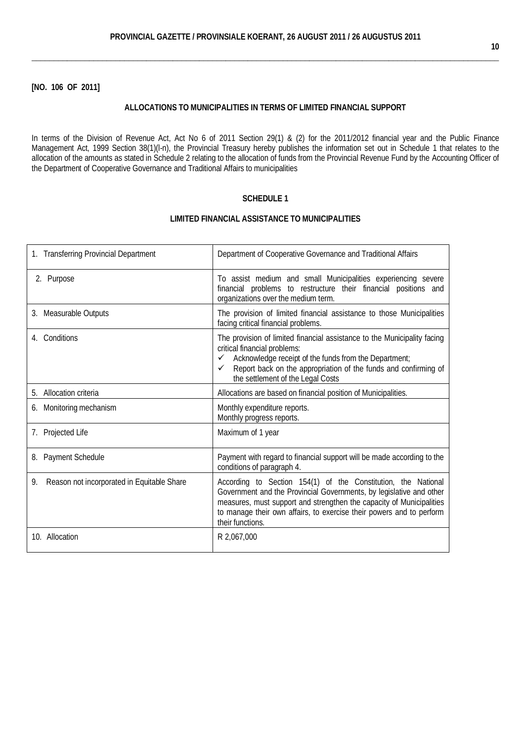**[NO. 106 OF 2011]**

## **ALLOCATIONS TO MUNICIPALITIES IN TERMS OF LIMITED FINANCIAL SUPPORT**

In terms of the [Division of Revenue Act,](http://greengazette.co.za/acts/division-of-revenue-act_1998-028) [Act](http://greengazette.co.za/acts/act_1969-049) No 6 of 2011 Section 29(1) & (2) for the 2011/2012 financial year and the Public [Finance](http://greengazette.co.za/acts/public-finance-management-act_1999-001)  [Management Act,](http://greengazette.co.za/acts/public-finance-management-act_1999-001) 1999 Section 38(1)(l-n), the Provincial Treasury hereby publishes the information set out in Schedule 1 that relates to the allocation of the amounts as stated in Schedule 2 relating to the allocation of funds from the Provincial Revenue Fund by the Accounting Officer of the Department [of Cooperative Governance](http://greengazette.co.za/departments/governance) and Traditional Affairs to municipalities

#### **SCHEDULE 1**

| 1. Transferring Provincial Department            | Department of Cooperative Governance and Traditional Affairs                                                                                                                                                                                                                                             |
|--------------------------------------------------|----------------------------------------------------------------------------------------------------------------------------------------------------------------------------------------------------------------------------------------------------------------------------------------------------------|
| 2. Purpose                                       | To assist medium and small Municipalities experiencing severe<br>financial problems to restructure their financial positions and<br>organizations over the medium term.                                                                                                                                  |
| 3. Measurable Outputs                            | The provision of limited financial assistance to those Municipalities<br>facing critical financial problems.                                                                                                                                                                                             |
| 4. Conditions                                    | The provision of limited financial assistance to the Municipality facing<br>critical financial problems:<br>Acknowledge receipt of the funds from the Department;<br>✓<br>Report back on the appropriation of the funds and confirming of<br>the settlement of the Legal Costs                           |
| 5. Allocation criteria                           | Allocations are based on financial position of Municipalities.                                                                                                                                                                                                                                           |
| 6. Monitoring mechanism                          | Monthly expenditure reports.<br>Monthly progress reports.                                                                                                                                                                                                                                                |
| 7. Projected Life                                | Maximum of 1 year                                                                                                                                                                                                                                                                                        |
| 8. Payment Schedule                              | Payment with regard to financial support will be made according to the<br>conditions of paragraph 4.                                                                                                                                                                                                     |
| Reason not incorporated in Equitable Share<br>9. | According to Section 154(1) of the Constitution, the National<br>Government and the Provincial Governments, by legislative and other<br>measures, must support and strengthen the capacity of Municipalities<br>to manage their own affairs, to exercise their powers and to perform<br>their functions. |
|                                                  |                                                                                                                                                                                                                                                                                                          |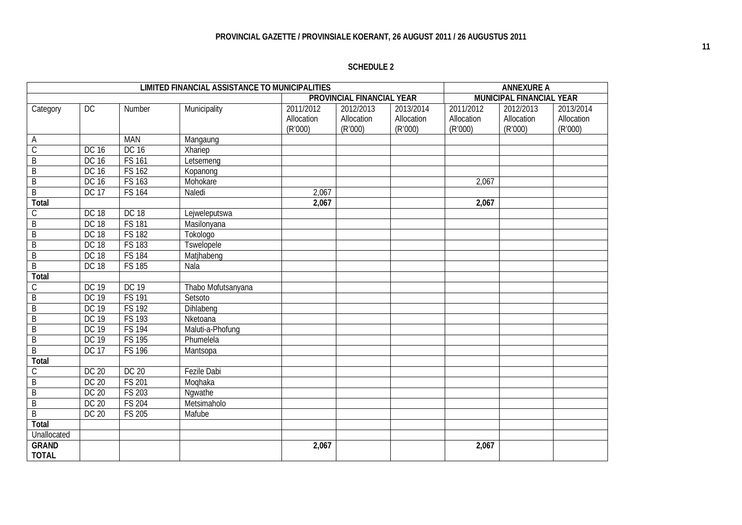| <b>SCHEDULE 2</b> |  |
|-------------------|--|
|-------------------|--|

|                              |              |               | <b>LIMITED FINANCIAL ASSISTANCE TO MUNICIPALITIES</b> |                         |                           |                         |                         | <b>ANNEXURE A</b>        |                         |
|------------------------------|--------------|---------------|-------------------------------------------------------|-------------------------|---------------------------|-------------------------|-------------------------|--------------------------|-------------------------|
|                              |              |               |                                                       |                         | PROVINCIAL FINANCIAL YEAR |                         |                         | MUNICIPAL FINANCIAL YEAR |                         |
| Category                     | DC           | Number        | Municipality                                          | 2011/2012<br>Allocation | 2012/2013<br>Allocation   | 2013/2014<br>Allocation | 2011/2012<br>Allocation | 2012/2013<br>Allocation  | 2013/2014<br>Allocation |
|                              |              |               |                                                       | (R'000)                 | (R'000)                   | (R'000)                 | (R'000)                 | (R'000)                  | (R'000)                 |
| A                            |              | <b>MAN</b>    | Mangaung                                              |                         |                           |                         |                         |                          |                         |
| $\overline{C}$               | DC 16        | DC 16         | Xhariep                                               |                         |                           |                         |                         |                          |                         |
| $\overline{B}$               | DC 16        | <b>FS 161</b> | Letsemeng                                             |                         |                           |                         |                         |                          |                         |
| B                            | DC 16        | <b>FS 162</b> | Kopanong                                              |                         |                           |                         |                         |                          |                         |
| B                            | DC 16        | <b>FS 163</b> | Mohokare                                              |                         |                           |                         | 2,067                   |                          |                         |
| $\overline{B}$               | <b>DC 17</b> | <b>FS 164</b> | Naledi                                                | 2,067                   |                           |                         |                         |                          |                         |
| Total                        |              |               |                                                       | 2,067                   |                           |                         | 2,067                   |                          |                         |
| C                            | <b>DC 18</b> | <b>DC 18</b>  | Lejweleputswa                                         |                         |                           |                         |                         |                          |                         |
| B                            | <b>DC 18</b> | <b>FS 181</b> | Masilonyana                                           |                         |                           |                         |                         |                          |                         |
| $\overline{B}$               | <b>DC 18</b> | <b>FS 182</b> | Tokologo                                              |                         |                           |                         |                         |                          |                         |
| $\overline{B}$               | <b>DC 18</b> | <b>FS 183</b> | <b>Tswelopele</b>                                     |                         |                           |                         |                         |                          |                         |
| B                            | <b>DC 18</b> | <b>FS 184</b> | Matjhabeng                                            |                         |                           |                         |                         |                          |                         |
| $\overline{B}$               | <b>DC 18</b> | <b>FS 185</b> | Nala                                                  |                         |                           |                         |                         |                          |                         |
| <b>Total</b>                 |              |               |                                                       |                         |                           |                         |                         |                          |                         |
| $\mathcal{C}$                | <b>DC 19</b> | <b>DC 19</b>  | Thabo Mofutsanyana                                    |                         |                           |                         |                         |                          |                         |
| B                            | <b>DC 19</b> | <b>FS 191</b> | Setsoto                                               |                         |                           |                         |                         |                          |                         |
| $\overline{B}$               | <b>DC 19</b> | <b>FS 192</b> | Dihlabeng                                             |                         |                           |                         |                         |                          |                         |
| B                            | <b>DC 19</b> | <b>FS 193</b> | Nketoana                                              |                         |                           |                         |                         |                          |                         |
| $\mathsf B$                  | DC 19        | <b>FS 194</b> | Maluti-a-Phofung                                      |                         |                           |                         |                         |                          |                         |
| $\overline{B}$               | <b>DC 19</b> | <b>FS 195</b> | Phumelela                                             |                         |                           |                         |                         |                          |                         |
| $\overline{B}$               | <b>DC 17</b> | <b>FS 196</b> | Mantsopa                                              |                         |                           |                         |                         |                          |                         |
| Total                        |              |               |                                                       |                         |                           |                         |                         |                          |                         |
| С                            | DC 20        | <b>DC 20</b>  | <b>Fezile Dabi</b>                                    |                         |                           |                         |                         |                          |                         |
| $\overline{B}$               | DC 20        | <b>FS 201</b> | Moghaka                                               |                         |                           |                         |                         |                          |                         |
| $\overline{B}$               | DC 20        | <b>FS 203</b> | Nqwathe                                               |                         |                           |                         |                         |                          |                         |
| $\overline{B}$               | <b>DC 20</b> | <b>FS 204</b> | Metsimaholo                                           |                         |                           |                         |                         |                          |                         |
| $\overline{B}$               | DC 20        | <b>FS 205</b> | Mafube                                                |                         |                           |                         |                         |                          |                         |
| Total                        |              |               |                                                       |                         |                           |                         |                         |                          |                         |
| Unallocated                  |              |               |                                                       |                         |                           |                         |                         |                          |                         |
| <b>GRAND</b><br><b>TOTAL</b> |              |               |                                                       | 2,067                   |                           |                         | 2,067                   |                          |                         |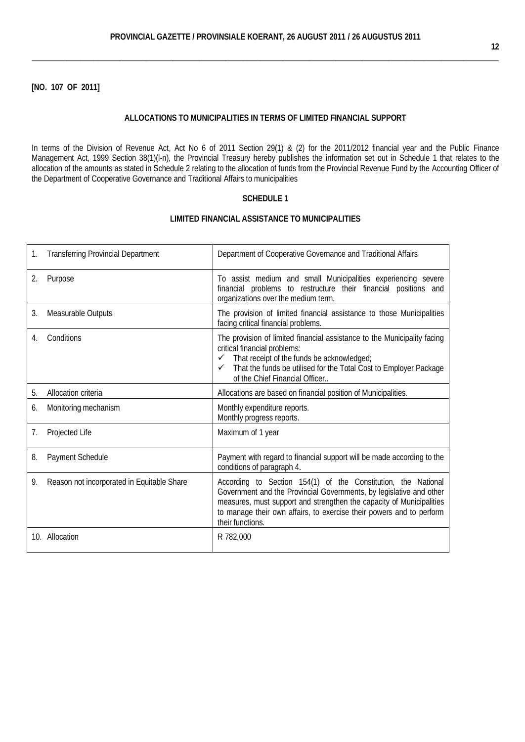## **[NO. 107 OF 2011]**

#### **ALLOCATIONS TO MUNICIPALITIES IN TERMS OF LIMITED FINANCIAL SUPPORT**

In terms of the [Division of Revenue Act,](http://greengazette.co.za/acts/division-of-revenue-act_1998-028) [Act](http://greengazette.co.za/acts/act_1969-049) No 6 of 2011 Section 29(1) & (2) for the 2011/2012 financial year and the Public [Finance](http://greengazette.co.za/acts/public-finance-management-act_1999-001)  [Management Act,](http://greengazette.co.za/acts/public-finance-management-act_1999-001) 1999 Section 38(1)(l-n), the Provincial Treasury hereby publishes the information set out in Schedule 1 that relates to the allocation of the amounts as stated in Schedule 2 relating to the allocation of funds from the Provincial Revenue Fund by the Accounting Officer of the [Department of Cooperative Governance](http://greengazette.co.za/departments/governance) and Traditional Affairs to municipalities

## **SCHEDULE 1**

| 1. | <b>Transferring Provincial Department</b>  | Department of Cooperative Governance and Traditional Affairs                                                                                                                                                                                                                                             |
|----|--------------------------------------------|----------------------------------------------------------------------------------------------------------------------------------------------------------------------------------------------------------------------------------------------------------------------------------------------------------|
| 2. | Purpose                                    | To assist medium and small Municipalities experiencing severe<br>financial problems to restructure their financial positions and<br>organizations over the medium term.                                                                                                                                  |
| 3. | Measurable Outputs                         | The provision of limited financial assistance to those Municipalities<br>facing critical financial problems.                                                                                                                                                                                             |
| 4. | Conditions                                 | The provision of limited financial assistance to the Municipality facing<br>critical financial problems:<br>That receipt of the funds be acknowledged;<br>That the funds be utilised for the Total Cost to Employer Package<br>✓<br>of the Chief Financial Officer                                       |
| 5. | Allocation criteria                        | Allocations are based on financial position of Municipalities.                                                                                                                                                                                                                                           |
| 6. | Monitoring mechanism                       | Monthly expenditure reports.<br>Monthly progress reports.                                                                                                                                                                                                                                                |
| 7. | Projected Life                             | Maximum of 1 year                                                                                                                                                                                                                                                                                        |
| 8. | Payment Schedule                           | Payment with regard to financial support will be made according to the<br>conditions of paragraph 4.                                                                                                                                                                                                     |
| 9. | Reason not incorporated in Equitable Share | According to Section 154(1) of the Constitution, the National<br>Government and the Provincial Governments, by legislative and other<br>measures, must support and strengthen the capacity of Municipalities<br>to manage their own affairs, to exercise their powers and to perform<br>their functions. |
|    | 10. Allocation                             | R 782,000                                                                                                                                                                                                                                                                                                |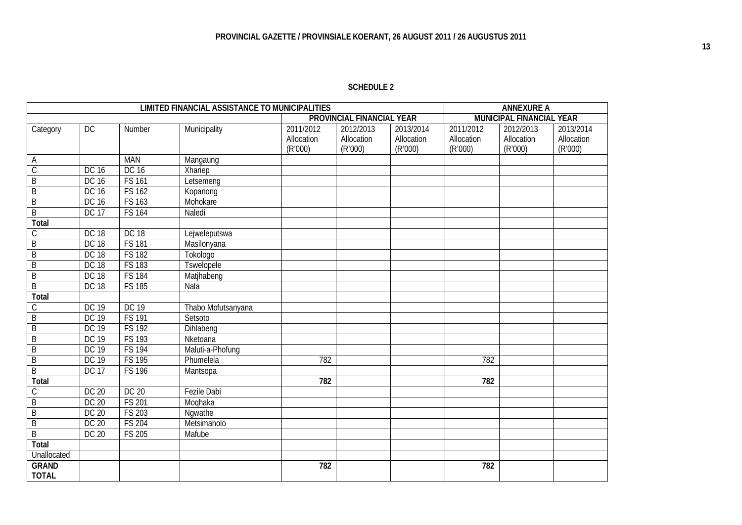## **SCHEDULE 2**

|                         |              |               | <b>LIMITED FINANCIAL ASSISTANCE TO MUNICIPALITIES</b> |            |                           |            |            | <b>ANNEXURE A</b>        |            |
|-------------------------|--------------|---------------|-------------------------------------------------------|------------|---------------------------|------------|------------|--------------------------|------------|
|                         |              |               |                                                       |            | PROVINCIAL FINANCIAL YEAR |            |            | MUNICIPAL FINANCIAL YEAR |            |
| Category                | <b>DC</b>    | Number        | Municipality                                          | 2011/2012  | 2012/2013                 | 2013/2014  | 2011/2012  | 2012/2013                | 2013/2014  |
|                         |              |               |                                                       | Allocation | Allocation                | Allocation | Allocation | Allocation               | Allocation |
|                         |              |               |                                                       | (R'000)    | (R'000)                   | (R'000)    | (R'000)    | (R'000)                  | (R'000)    |
| Α                       |              | <b>MAN</b>    | Mangaung                                              |            |                           |            |            |                          |            |
| $\overline{C}$          | <b>DC 16</b> | DC 16         | Xhariep                                               |            |                           |            |            |                          |            |
| $\overline{B}$          | <b>DC 16</b> | <b>FS 161</b> | Letsemeng                                             |            |                           |            |            |                          |            |
| B                       | <b>DC 16</b> | <b>FS 162</b> | Kopanong                                              |            |                           |            |            |                          |            |
| B                       | <b>DC 16</b> | <b>FS 163</b> | Mohokare                                              |            |                           |            |            |                          |            |
| B                       | <b>DC 17</b> | <b>FS 164</b> | Naledi                                                |            |                           |            |            |                          |            |
| Total                   |              |               |                                                       |            |                           |            |            |                          |            |
| $\overline{C}$          | <b>DC 18</b> | <b>DC 18</b>  | Lejweleputswa                                         |            |                           |            |            |                          |            |
| $\overline{\mathsf{B}}$ | <b>DC 18</b> | <b>FS 181</b> | Masilonyana                                           |            |                           |            |            |                          |            |
| $\overline{B}$          | <b>DC 18</b> | <b>FS 182</b> | Tokologo                                              |            |                           |            |            |                          |            |
| $\overline{B}$          | <b>DC 18</b> | <b>FS 183</b> | <b>Tswelopele</b>                                     |            |                           |            |            |                          |            |
| B                       | <b>DC 18</b> | <b>FS 184</b> | Matjhabeng                                            |            |                           |            |            |                          |            |
| $\overline{B}$          | <b>DC 18</b> | <b>FS 185</b> | Nala                                                  |            |                           |            |            |                          |            |
| Total                   |              |               |                                                       |            |                           |            |            |                          |            |
| С                       | <b>DC 19</b> | DC 19         | Thabo Mofutsanyana                                    |            |                           |            |            |                          |            |
| B                       | <b>DC 19</b> | <b>FS 191</b> | Setsoto                                               |            |                           |            |            |                          |            |
| B                       | <b>DC 19</b> | <b>FS 192</b> | Dihlabeng                                             |            |                           |            |            |                          |            |
| B                       | <b>DC 19</b> | <b>FS 193</b> | Nketoana                                              |            |                           |            |            |                          |            |
| B                       | <b>DC 19</b> | <b>FS 194</b> | Maluti-a-Phofung                                      |            |                           |            |            |                          |            |
| $\overline{B}$          | <b>DC 19</b> | <b>FS 195</b> | Phumelela                                             | 782        |                           |            | 782        |                          |            |
| $\overline{B}$          | <b>DC 17</b> | <b>FS 196</b> | Mantsopa                                              |            |                           |            |            |                          |            |
| Total                   |              |               |                                                       | 782        |                           |            | 782        |                          |            |
| С                       | <b>DC 20</b> | DC 20         | <b>Fezile Dabi</b>                                    |            |                           |            |            |                          |            |
| B                       | <b>DC 20</b> | <b>FS 201</b> | Moqhaka                                               |            |                           |            |            |                          |            |
| B                       | <b>DC 20</b> | FS 203        | Ngwathe                                               |            |                           |            |            |                          |            |
| $\overline{\mathsf{B}}$ | <b>DC 20</b> | <b>FS 204</b> | Metsimaholo                                           |            |                           |            |            |                          |            |
| $\overline{B}$          | <b>DC 20</b> | <b>FS 205</b> | Mafube                                                |            |                           |            |            |                          |            |
| Total                   |              |               |                                                       |            |                           |            |            |                          |            |
| Unallocated             |              |               |                                                       |            |                           |            |            |                          |            |
| <b>GRAND</b>            |              |               |                                                       | 782        |                           |            | 782        |                          |            |
| <b>TOTAL</b>            |              |               |                                                       |            |                           |            |            |                          |            |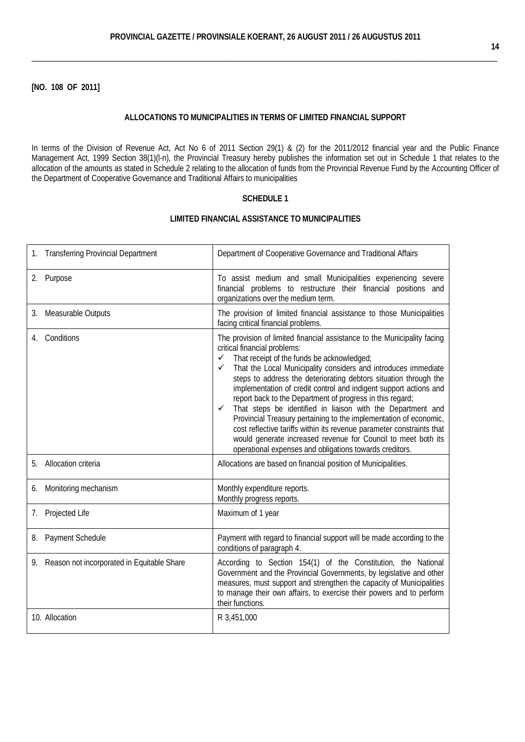**[NO. 108 OF 2011]**

#### **ALLOCATIONS TO MUNICIPALITIES IN TERMS OF LIMITED FINANCIAL SUPPORT**

In terms of the [Division of Revenue Act,](http://greengazette.co.za/acts/division-of-revenue-act_1998-028) [Act](http://greengazette.co.za/acts/act_1969-049) No 6 of 2011 Section 29(1) & (2) for the 2011/2012 financial year and the [Public Finance](http://greengazette.co.za/acts/public-finance-management-act_1999-001) [Management Act,](http://greengazette.co.za/acts/public-finance-management-act_1999-001) 1999 Section 38(1)(l-n), the Provincial Treasury hereby publishes the information set out in Schedule 1 that relates to the allocation of the amounts as stated in Schedule 2 relating to the allocation of funds from the Provincial Revenue Fund by the Accounting Officer of the [Department of Cooperative Governance](http://greengazette.co.za/departments/governance) and Traditional Affairs to municipalities

#### **SCHEDULE 1**

| <b>Transferring Provincial Department</b><br>1. | Department of Cooperative Governance and Traditional Affairs                                                                                                                                                                                                                                                                                                                                                                                                                                                                                                                                                                                                                                                                                                                                                 |
|-------------------------------------------------|--------------------------------------------------------------------------------------------------------------------------------------------------------------------------------------------------------------------------------------------------------------------------------------------------------------------------------------------------------------------------------------------------------------------------------------------------------------------------------------------------------------------------------------------------------------------------------------------------------------------------------------------------------------------------------------------------------------------------------------------------------------------------------------------------------------|
| 2. Purpose                                      | To assist medium and small Municipalities experiencing severe<br>financial problems to restructure their financial positions and<br>organizations over the medium term.                                                                                                                                                                                                                                                                                                                                                                                                                                                                                                                                                                                                                                      |
| Measurable Outputs<br>3.                        | The provision of limited financial assistance to those Municipalities<br>facing critical financial problems.                                                                                                                                                                                                                                                                                                                                                                                                                                                                                                                                                                                                                                                                                                 |
| Conditions<br>4.                                | The provision of limited financial assistance to the Municipality facing<br>critical financial problems:<br>That receipt of the funds be acknowledged;<br>$\checkmark$<br>That the Local Municipality considers and introduces immediate<br>$\checkmark$<br>steps to address the deteriorating debtors situation through the<br>implementation of credit control and indigent support actions and<br>report back to the Department of progress in this regard;<br>That steps be identified in liaison with the Department and<br>✓<br>Provincial Treasury pertaining to the implementation of economic,<br>cost reflective tariffs within its revenue parameter constraints that<br>would generate increased revenue for Council to meet both its<br>operational expenses and obligations towards creditors. |
| Allocation criteria<br>5.                       | Allocations are based on financial position of Municipalities.                                                                                                                                                                                                                                                                                                                                                                                                                                                                                                                                                                                                                                                                                                                                               |
| Monitoring mechanism<br>6.                      | Monthly expenditure reports.<br>Monthly progress reports.                                                                                                                                                                                                                                                                                                                                                                                                                                                                                                                                                                                                                                                                                                                                                    |
| Projected Life<br>7.                            | Maximum of 1 year                                                                                                                                                                                                                                                                                                                                                                                                                                                                                                                                                                                                                                                                                                                                                                                            |
| 8. Payment Schedule                             | Payment with regard to financial support will be made according to the<br>conditions of paragraph 4.                                                                                                                                                                                                                                                                                                                                                                                                                                                                                                                                                                                                                                                                                                         |
| 9. Reason not incorporated in Equitable Share   | According to Section 154(1) of the Constitution, the National<br>Government and the Provincial Governments, by legislative and other<br>measures, must support and strengthen the capacity of Municipalities<br>to manage their own affairs, to exercise their powers and to perform<br>their functions.                                                                                                                                                                                                                                                                                                                                                                                                                                                                                                     |
| 10. Allocation                                  | R 3,451,000                                                                                                                                                                                                                                                                                                                                                                                                                                                                                                                                                                                                                                                                                                                                                                                                  |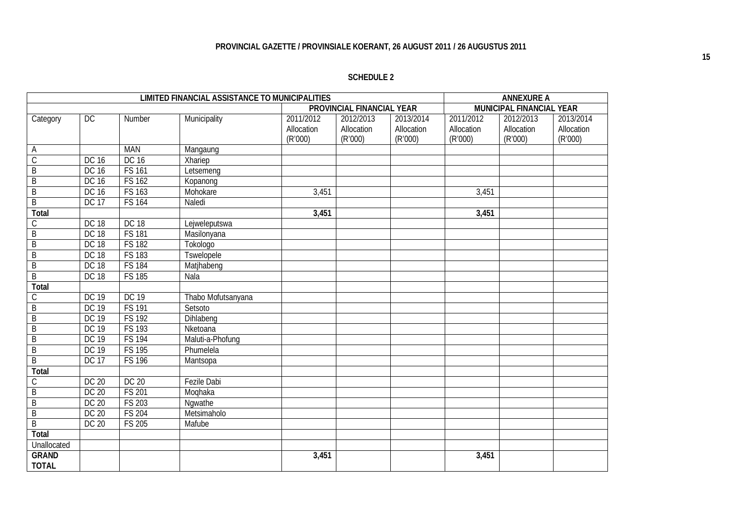## **SCHEDULE 2**

|                |              |               | LIMITED FINANCIAL ASSISTANCE TO MUNICIPALITIES |                                    |                                    |                                    |                                    | <b>ANNEXURE A</b>                  |                                    |
|----------------|--------------|---------------|------------------------------------------------|------------------------------------|------------------------------------|------------------------------------|------------------------------------|------------------------------------|------------------------------------|
|                |              |               |                                                |                                    | PROVINCIAL FINANCIAL YEAR          |                                    |                                    | MUNICIPAL FINANCIAL YEAR           |                                    |
| Category       | DC           | Number        | Municipality                                   | 2011/2012<br>Allocation<br>(R'000) | 2012/2013<br>Allocation<br>(R'000) | 2013/2014<br>Allocation<br>(R'000) | 2011/2012<br>Allocation<br>(R'000) | 2012/2013<br>Allocation<br>(R'000) | 2013/2014<br>Allocation<br>(R'000) |
| A              |              | <b>MAN</b>    | Mangaung                                       |                                    |                                    |                                    |                                    |                                    |                                    |
| $\overline{C}$ | <b>DC 16</b> | DC 16         | Xhariep                                        |                                    |                                    |                                    |                                    |                                    |                                    |
| $\overline{B}$ | <b>DC 16</b> | FS 161        | Letsemeng                                      |                                    |                                    |                                    |                                    |                                    |                                    |
| $\overline{B}$ | <b>DC 16</b> | <b>FS 162</b> | Kopanong                                       |                                    |                                    |                                    |                                    |                                    |                                    |
| $\sf B$        | <b>DC 16</b> | FS 163        | Mohokare                                       | 3,451                              |                                    |                                    | 3,451                              |                                    |                                    |
| $\overline{B}$ | <b>DC 17</b> | <b>FS 164</b> | Naledi                                         |                                    |                                    |                                    |                                    |                                    |                                    |
| Total          |              |               |                                                | 3,451                              |                                    |                                    | 3,451                              |                                    |                                    |
| С              | <b>DC 18</b> | <b>DC 18</b>  | Lejweleputswa                                  |                                    |                                    |                                    |                                    |                                    |                                    |
| $\overline{B}$ | <b>DC 18</b> | <b>FS 181</b> | Masilonyana                                    |                                    |                                    |                                    |                                    |                                    |                                    |
| $\sf B$        | <b>DC 18</b> | <b>FS 182</b> | Tokologo                                       |                                    |                                    |                                    |                                    |                                    |                                    |
| $\overline{B}$ | <b>DC 18</b> | <b>FS 183</b> | <b>Tswelopele</b>                              |                                    |                                    |                                    |                                    |                                    |                                    |
| $\overline{B}$ | <b>DC 18</b> | <b>FS 184</b> | Matjhabeng                                     |                                    |                                    |                                    |                                    |                                    |                                    |
| $\overline{B}$ | <b>DC 18</b> | <b>FS 185</b> | Nala                                           |                                    |                                    |                                    |                                    |                                    |                                    |
| Total          |              |               |                                                |                                    |                                    |                                    |                                    |                                    |                                    |
| C              | <b>DC 19</b> | <b>DC 19</b>  | Thabo Mofutsanyana                             |                                    |                                    |                                    |                                    |                                    |                                    |
| Β              | <b>DC 19</b> | <b>FS 191</b> | Setsoto                                        |                                    |                                    |                                    |                                    |                                    |                                    |
| $\mathsf B$    | <b>DC 19</b> | FS 192        | Dihlabeng                                      |                                    |                                    |                                    |                                    |                                    |                                    |
| B              | <b>DC 19</b> | <b>FS 193</b> | Nketoana                                       |                                    |                                    |                                    |                                    |                                    |                                    |
| B              | <b>DC 19</b> | <b>FS 194</b> | Maluti-a-Phofung                               |                                    |                                    |                                    |                                    |                                    |                                    |
| B              | <b>DC 19</b> | <b>FS 195</b> | Phumelela                                      |                                    |                                    |                                    |                                    |                                    |                                    |
| $\overline{B}$ | <b>DC 17</b> | <b>FS 196</b> | Mantsopa                                       |                                    |                                    |                                    |                                    |                                    |                                    |
| Total          |              |               |                                                |                                    |                                    |                                    |                                    |                                    |                                    |
| С              | <b>DC 20</b> | DC 20         | Fezile Dabi                                    |                                    |                                    |                                    |                                    |                                    |                                    |
| $\overline{B}$ | <b>DC 20</b> | <b>FS 201</b> | Moghaka                                        |                                    |                                    |                                    |                                    |                                    |                                    |
| $\overline{B}$ | <b>DC 20</b> | <b>FS 203</b> | Ngwathe                                        |                                    |                                    |                                    |                                    |                                    |                                    |
| $\overline{B}$ | <b>DC 20</b> | <b>FS 204</b> | Metsimaholo                                    |                                    |                                    |                                    |                                    |                                    |                                    |
| $\overline{B}$ | DC 20        | FS 205        | Mafube                                         |                                    |                                    |                                    |                                    |                                    |                                    |
| <b>Total</b>   |              |               |                                                |                                    |                                    |                                    |                                    |                                    |                                    |
| Unallocated    |              |               |                                                |                                    |                                    |                                    |                                    |                                    |                                    |
| <b>GRAND</b>   |              |               |                                                | 3,451                              |                                    |                                    | 3,451                              |                                    |                                    |
| <b>TOTAL</b>   |              |               |                                                |                                    |                                    |                                    |                                    |                                    |                                    |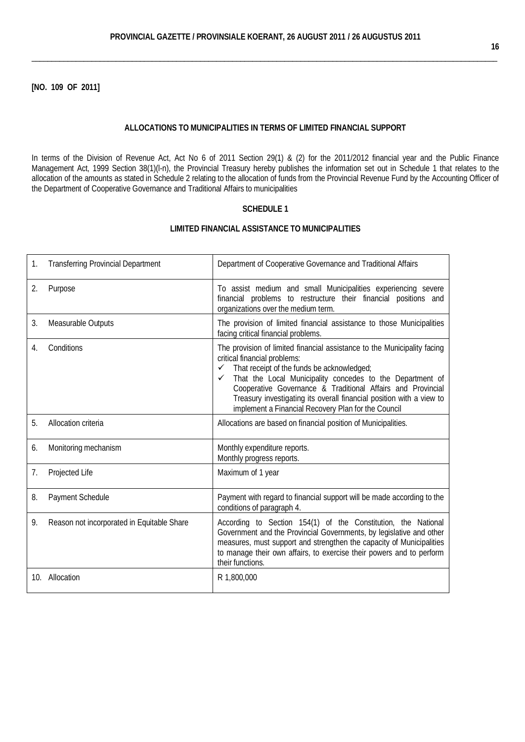**[NO. 109 OF 2011]**

#### **ALLOCATIONS TO MUNICIPALITIES IN TERMS OF LIMITED FINANCIAL SUPPORT**

In terms of the [Division of Revenue Act,](http://greengazette.co.za/acts/division-of-revenue-act_1998-028) [Act](http://greengazette.co.za/acts/act_1969-049) No 6 of 2011 Section 29(1) & (2) for the 2011/2012 financial year and the [Public Finance](http://greengazette.co.za/acts/public-finance-management-act_1999-001) [Management Act,](http://greengazette.co.za/acts/public-finance-management-act_1999-001) 1999 Section 38(1)(l-n), the Provincial Treasury hereby publishes the information set out in Schedule 1 that relates to the allocation of the amounts as stated in Schedule 2 relating to the allocation of funds from the Provincial Revenue Fund by the Accounting Officer of the [Department of Cooperative Governance](http://greengazette.co.za/departments/governance) and Traditional Affairs to municipalities

## **SCHEDULE 1**

| 1.  | <b>Transferring Provincial Department</b>  | Department of Cooperative Governance and Traditional Affairs                                                                                                                                                                                                                                                                                                                                                                        |
|-----|--------------------------------------------|-------------------------------------------------------------------------------------------------------------------------------------------------------------------------------------------------------------------------------------------------------------------------------------------------------------------------------------------------------------------------------------------------------------------------------------|
| 2.  | Purpose                                    | To assist medium and small Municipalities experiencing severe<br>financial problems to restructure their financial positions and<br>organizations over the medium term.                                                                                                                                                                                                                                                             |
| 3.  | Measurable Outputs                         | The provision of limited financial assistance to those Municipalities<br>facing critical financial problems.                                                                                                                                                                                                                                                                                                                        |
| 4.  | Conditions                                 | The provision of limited financial assistance to the Municipality facing<br>critical financial problems:<br>$\checkmark$ That receipt of the funds be acknowledged;<br>That the Local Municipality concedes to the Department of<br>✓<br>Cooperative Governance & Traditional Affairs and Provincial<br>Treasury investigating its overall financial position with a view to<br>implement a Financial Recovery Plan for the Council |
| 5.  | Allocation criteria                        | Allocations are based on financial position of Municipalities.                                                                                                                                                                                                                                                                                                                                                                      |
| 6.  | Monitoring mechanism                       | Monthly expenditure reports.<br>Monthly progress reports.                                                                                                                                                                                                                                                                                                                                                                           |
| 7.  | Projected Life                             | Maximum of 1 year                                                                                                                                                                                                                                                                                                                                                                                                                   |
| 8.  | Payment Schedule                           | Payment with regard to financial support will be made according to the<br>conditions of paragraph 4.                                                                                                                                                                                                                                                                                                                                |
| 9.  | Reason not incorporated in Equitable Share | According to Section 154(1) of the Constitution, the National<br>Government and the Provincial Governments, by legislative and other<br>measures, must support and strengthen the capacity of Municipalities<br>to manage their own affairs, to exercise their powers and to perform<br>their functions.                                                                                                                            |
| 10. | Allocation                                 | R 1,800,000                                                                                                                                                                                                                                                                                                                                                                                                                         |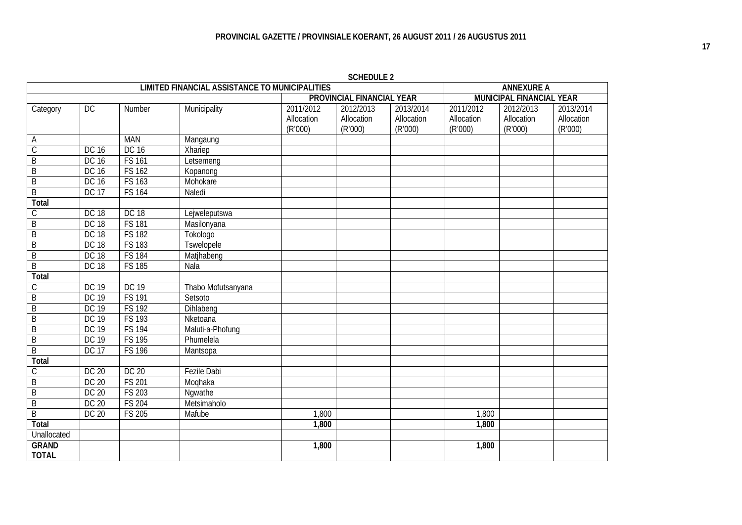|                |                    |               | <b>LIMITED FINANCIAL ASSISTANCE TO MUNICIPALITIES</b> |            | JUILDULL 4                |            | <b>ANNEXURE A</b> |                          |            |  |
|----------------|--------------------|---------------|-------------------------------------------------------|------------|---------------------------|------------|-------------------|--------------------------|------------|--|
|                |                    |               |                                                       |            | PROVINCIAL FINANCIAL YEAR |            |                   | MUNICIPAL FINANCIAL YEAR |            |  |
| Category       | DC                 | Number        | Municipality                                          | 2011/2012  | 2012/2013                 | 2013/2014  | 2011/2012         | 2012/2013                | 2013/2014  |  |
|                |                    |               |                                                       | Allocation | Allocation                | Allocation | Allocation        | Allocation               | Allocation |  |
|                |                    |               |                                                       | (R'000)    | (R'000)                   | (R'000)    | (R'000)           | (R'000)                  | (R'000)    |  |
| A              |                    | <b>MAN</b>    | Mangaung                                              |            |                           |            |                   |                          |            |  |
| $\overline{C}$ | <b>DC 16</b>       | DC 16         | Xhariep                                               |            |                           |            |                   |                          |            |  |
| $\overline{B}$ | <b>DC 16</b>       | <b>FS 161</b> | Letsemeng                                             |            |                           |            |                   |                          |            |  |
| $\overline{B}$ | <b>DC 16</b>       | <b>FS 162</b> | Kopanong                                              |            |                           |            |                   |                          |            |  |
| $\overline{B}$ | <b>DC 16</b>       | <b>FS 163</b> | Mohokare                                              |            |                           |            |                   |                          |            |  |
| $\overline{B}$ | <b>DC 17</b>       | <b>FS 164</b> | Naledi                                                |            |                           |            |                   |                          |            |  |
| Total          |                    |               |                                                       |            |                           |            |                   |                          |            |  |
| $\mathsf C$    | <b>DC 18</b>       | <b>DC 18</b>  | Lejweleputswa                                         |            |                           |            |                   |                          |            |  |
| $\overline{B}$ | <b>DC 18</b>       | <b>FS 181</b> | Masilonyana                                           |            |                           |            |                   |                          |            |  |
| B              | <b>DC 18</b>       | <b>FS 182</b> | Tokologo                                              |            |                           |            |                   |                          |            |  |
| $\overline{B}$ | <b>DC 18</b>       | <b>FS 183</b> | Tswelopele                                            |            |                           |            |                   |                          |            |  |
| B              | <b>DC 18</b>       | <b>FS 184</b> | Matjhabeng                                            |            |                           |            |                   |                          |            |  |
| $\overline{B}$ | <b>DC 18</b>       | <b>FS 185</b> | Nala                                                  |            |                           |            |                   |                          |            |  |
| Total          |                    |               |                                                       |            |                           |            |                   |                          |            |  |
| $\overline{C}$ | <b>DC 19</b>       | DC 19         | Thabo Mofutsanyana                                    |            |                           |            |                   |                          |            |  |
| $\overline{B}$ | <b>DC 19</b>       | <b>FS 191</b> | Setsoto                                               |            |                           |            |                   |                          |            |  |
| $\overline{B}$ | <b>DC 19</b>       | <b>FS 192</b> | Dihlabeng                                             |            |                           |            |                   |                          |            |  |
| $\overline{B}$ | <b>DC 19</b>       | <b>FS 193</b> | Nketoana                                              |            |                           |            |                   |                          |            |  |
| $\overline{B}$ | <b>DC 19</b>       | <b>FS 194</b> | Maluti-a-Phofung                                      |            |                           |            |                   |                          |            |  |
| $\overline{B}$ | $\overline{DC}$ 19 | <b>FS 195</b> | Phumelela                                             |            |                           |            |                   |                          |            |  |
| B              | <b>DC 17</b>       | <b>FS 196</b> | Mantsopa                                              |            |                           |            |                   |                          |            |  |
| Total          |                    |               |                                                       |            |                           |            |                   |                          |            |  |
| C              | <b>DC 20</b>       | DC 20         | <b>Fezile Dabi</b>                                    |            |                           |            |                   |                          |            |  |
| $\overline{B}$ | DC 20              | <b>FS 201</b> | Moqhaka                                               |            |                           |            |                   |                          |            |  |
| $\overline{B}$ | <b>DC 20</b>       | <b>FS 203</b> | Ngwathe                                               |            |                           |            |                   |                          |            |  |
| $\overline{B}$ | <b>DC 20</b>       | <b>FS 204</b> | Metsimaholo                                           |            |                           |            |                   |                          |            |  |
| $\overline{B}$ | <b>DC 20</b>       | <b>FS 205</b> | Mafube                                                | 1,800      |                           |            | 1,800             |                          |            |  |
| Total          |                    |               |                                                       | 1,800      |                           |            | 1,800             |                          |            |  |
| Unallocated    |                    |               |                                                       |            |                           |            |                   |                          |            |  |
| <b>GRAND</b>   |                    |               |                                                       | 1,800      |                           |            | 1,800             |                          |            |  |
| <b>TOTAL</b>   |                    |               |                                                       |            |                           |            |                   |                          |            |  |

**SCHEDULE 2**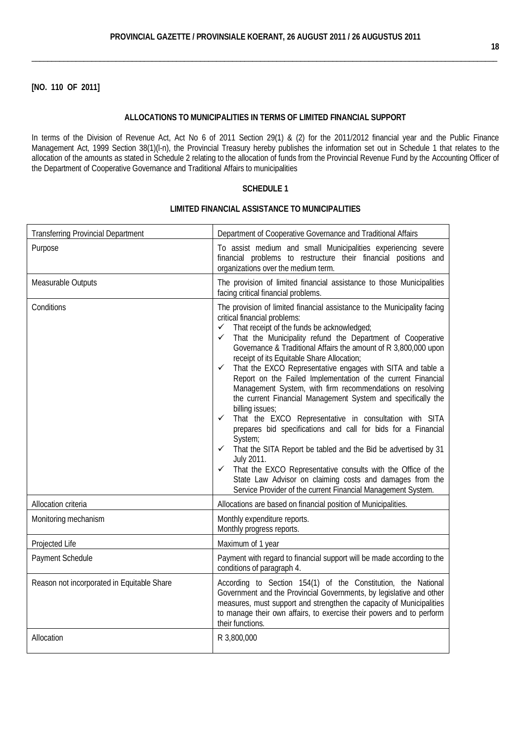## **[NO. 110 OF 2011]**

#### **ALLOCATIONS TO MUNICIPALITIES IN TERMS OF LIMITED FINANCIAL SUPPORT**

In terms of the [Division of Revenue Act,](http://greengazette.co.za/acts/division-of-revenue-act_1998-028) [Act](http://greengazette.co.za/acts/act_1969-049) No 6 of 2011 Section 29(1) & (2) for the 2011/2012 financial year and the Public Finance [Management Act,](http://greengazette.co.za/acts/public-finance-management-act_1999-001) 1999 Section 38(1)(l-n), the Provincial Treasury hereby publishes the information set out in Schedule 1 that relates to the allocation of the amounts as stated in Schedule 2 relating to the allocation of funds from the Provincial Revenue Fund by the Accounting Officer of the [Department of Cooperative Governance](http://greengazette.co.za/departments/governance) and Traditional Affairs to municipalities

## **SCHEDULE 1**

| <b>Transferring Provincial Department</b>  | Department of Cooperative Governance and Traditional Affairs                                                                                                                                                                                                                                                                                                                                                                                                                                                                                                                                                                                                                                                                                                                                                                                                                                                                                                                                                                                                                                                            |
|--------------------------------------------|-------------------------------------------------------------------------------------------------------------------------------------------------------------------------------------------------------------------------------------------------------------------------------------------------------------------------------------------------------------------------------------------------------------------------------------------------------------------------------------------------------------------------------------------------------------------------------------------------------------------------------------------------------------------------------------------------------------------------------------------------------------------------------------------------------------------------------------------------------------------------------------------------------------------------------------------------------------------------------------------------------------------------------------------------------------------------------------------------------------------------|
| Purpose                                    | To assist medium and small Municipalities experiencing severe<br>financial problems to restructure their financial positions and<br>organizations over the medium term.                                                                                                                                                                                                                                                                                                                                                                                                                                                                                                                                                                                                                                                                                                                                                                                                                                                                                                                                                 |
| Measurable Outputs                         | The provision of limited financial assistance to those Municipalities<br>facing critical financial problems.                                                                                                                                                                                                                                                                                                                                                                                                                                                                                                                                                                                                                                                                                                                                                                                                                                                                                                                                                                                                            |
| Conditions                                 | The provision of limited financial assistance to the Municipality facing<br>critical financial problems:<br>$\checkmark$ That receipt of the funds be acknowledged;<br>That the Municipality refund the Department of Cooperative<br>$\checkmark$<br>Governance & Traditional Affairs the amount of R 3,800,000 upon<br>receipt of its Equitable Share Allocation;<br>That the EXCO Representative engages with SITA and table a<br>$\checkmark$<br>Report on the Failed Implementation of the current Financial<br>Management System, with firm recommendations on resolving<br>the current Financial Management System and specifically the<br>billing issues;<br>That the EXCO Representative in consultation with SITA<br>$\checkmark$<br>prepares bid specifications and call for bids for a Financial<br>System;<br>That the SITA Report be tabled and the Bid be advertised by 31<br>✓<br>July 2011.<br>That the EXCO Representative consults with the Office of the<br>$\checkmark$<br>State Law Advisor on claiming costs and damages from the<br>Service Provider of the current Financial Management System. |
| Allocation criteria                        | Allocations are based on financial position of Municipalities.                                                                                                                                                                                                                                                                                                                                                                                                                                                                                                                                                                                                                                                                                                                                                                                                                                                                                                                                                                                                                                                          |
| Monitoring mechanism                       | Monthly expenditure reports.<br>Monthly progress reports.                                                                                                                                                                                                                                                                                                                                                                                                                                                                                                                                                                                                                                                                                                                                                                                                                                                                                                                                                                                                                                                               |
| Projected Life                             | Maximum of 1 year                                                                                                                                                                                                                                                                                                                                                                                                                                                                                                                                                                                                                                                                                                                                                                                                                                                                                                                                                                                                                                                                                                       |
| Payment Schedule                           | Payment with regard to financial support will be made according to the<br>conditions of paragraph 4.                                                                                                                                                                                                                                                                                                                                                                                                                                                                                                                                                                                                                                                                                                                                                                                                                                                                                                                                                                                                                    |
| Reason not incorporated in Equitable Share | According to Section 154(1) of the Constitution, the National<br>Government and the Provincial Governments, by legislative and other<br>measures, must support and strengthen the capacity of Municipalities<br>to manage their own affairs, to exercise their powers and to perform<br>their functions.                                                                                                                                                                                                                                                                                                                                                                                                                                                                                                                                                                                                                                                                                                                                                                                                                |
| Allocation                                 | R 3,800,000                                                                                                                                                                                                                                                                                                                                                                                                                                                                                                                                                                                                                                                                                                                                                                                                                                                                                                                                                                                                                                                                                                             |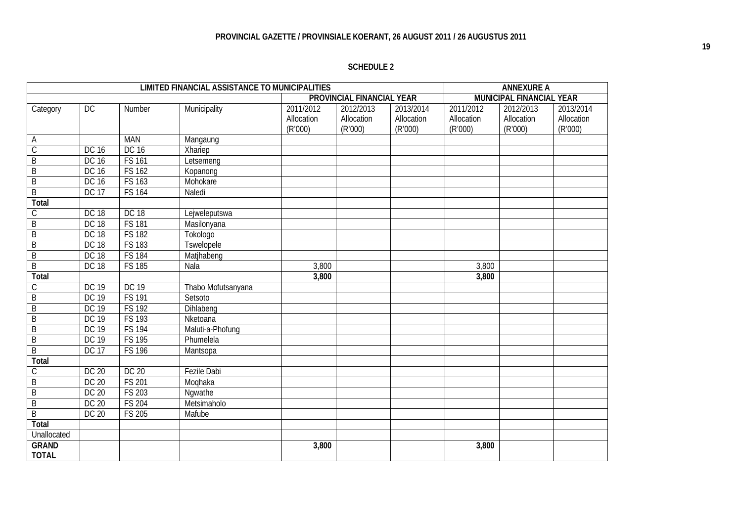|                              |              |               | <b>LIMITED FINANCIAL ASSISTANCE TO MUNICIPALITIES</b> |                                    |                                    |                                    |                                    | <b>ANNEXURE A</b>                  |                                    |
|------------------------------|--------------|---------------|-------------------------------------------------------|------------------------------------|------------------------------------|------------------------------------|------------------------------------|------------------------------------|------------------------------------|
|                              |              |               |                                                       |                                    | PROVINCIAL FINANCIAL YEAR          |                                    |                                    | MUNICIPAL FINANCIAL YEAR           |                                    |
| Category                     | DC           | Number        | Municipality                                          | 2011/2012<br>Allocation<br>(R'000) | 2012/2013<br>Allocation<br>(R'000) | 2013/2014<br>Allocation<br>(R'000) | 2011/2012<br>Allocation<br>(R'000) | 2012/2013<br>Allocation<br>(R'000) | 2013/2014<br>Allocation<br>(R'000) |
| A                            |              | <b>MAN</b>    | Mangaung                                              |                                    |                                    |                                    |                                    |                                    |                                    |
| $\overline{C}$               | DC 16        | DC 16         | Xhariep                                               |                                    |                                    |                                    |                                    |                                    |                                    |
| B                            | DC 16        | <b>FS 161</b> | Letsemeng                                             |                                    |                                    |                                    |                                    |                                    |                                    |
| B                            | DC 16        | <b>FS 162</b> | Kopanong                                              |                                    |                                    |                                    |                                    |                                    |                                    |
| B                            | DC 16        | <b>FS 163</b> | Mohokare                                              |                                    |                                    |                                    |                                    |                                    |                                    |
| $\overline{B}$               | <b>DC 17</b> | <b>FS 164</b> | Naledi                                                |                                    |                                    |                                    |                                    |                                    |                                    |
| Total                        |              |               |                                                       |                                    |                                    |                                    |                                    |                                    |                                    |
| C                            | <b>DC 18</b> | <b>DC 18</b>  | Lejweleputswa                                         |                                    |                                    |                                    |                                    |                                    |                                    |
| B                            | <b>DC 18</b> | <b>FS 181</b> | Masilonyana                                           |                                    |                                    |                                    |                                    |                                    |                                    |
| $\overline{B}$               | <b>DC 18</b> | <b>FS 182</b> | Tokologo                                              |                                    |                                    |                                    |                                    |                                    |                                    |
| $\overline{B}$               | <b>DC 18</b> | <b>FS 183</b> | Tswelopele                                            |                                    |                                    |                                    |                                    |                                    |                                    |
| B                            | <b>DC 18</b> | <b>FS 184</b> | Matjhabeng                                            |                                    |                                    |                                    |                                    |                                    |                                    |
| $\overline{B}$               | <b>DC 18</b> | <b>FS 185</b> | Nala                                                  | 3,800                              |                                    |                                    | 3,800                              |                                    |                                    |
| Total                        |              |               |                                                       | 3,800                              |                                    |                                    | 3,800                              |                                    |                                    |
| $\mathcal{C}$                | <b>DC 19</b> | <b>DC 19</b>  | Thabo Mofutsanyana                                    |                                    |                                    |                                    |                                    |                                    |                                    |
| B                            | <b>DC 19</b> | <b>FS 191</b> | Setsoto                                               |                                    |                                    |                                    |                                    |                                    |                                    |
| $\overline{B}$               | DC 19        | <b>FS 192</b> | Dihlabeng                                             |                                    |                                    |                                    |                                    |                                    |                                    |
| B                            | <b>DC 19</b> | <b>FS 193</b> | Nketoana                                              |                                    |                                    |                                    |                                    |                                    |                                    |
| B                            | DC 19        | <b>FS 194</b> | Maluti-a-Phofung                                      |                                    |                                    |                                    |                                    |                                    |                                    |
| $\overline{B}$               | <b>DC 19</b> | <b>FS 195</b> | Phumelela                                             |                                    |                                    |                                    |                                    |                                    |                                    |
| $\overline{B}$               | <b>DC 17</b> | <b>FS 196</b> | Mantsopa                                              |                                    |                                    |                                    |                                    |                                    |                                    |
| Total                        |              |               |                                                       |                                    |                                    |                                    |                                    |                                    |                                    |
| C                            | DC 20        | <b>DC 20</b>  | <b>Fezile Dabi</b>                                    |                                    |                                    |                                    |                                    |                                    |                                    |
| B                            | DC 20        | <b>FS 201</b> | Moghaka                                               |                                    |                                    |                                    |                                    |                                    |                                    |
| $\overline{B}$               | DC 20        | <b>FS 203</b> | Nqwathe                                               |                                    |                                    |                                    |                                    |                                    |                                    |
| B                            | DC 20        | <b>FS 204</b> | Metsimaholo                                           |                                    |                                    |                                    |                                    |                                    |                                    |
| $\overline{B}$               | DC 20        | <b>FS 205</b> | Mafube                                                |                                    |                                    |                                    |                                    |                                    |                                    |
| Total                        |              |               |                                                       |                                    |                                    |                                    |                                    |                                    |                                    |
| Unallocated                  |              |               |                                                       |                                    |                                    |                                    |                                    |                                    |                                    |
| <b>GRAND</b><br><b>TOTAL</b> |              |               |                                                       | 3,800                              |                                    |                                    | 3,800                              |                                    |                                    |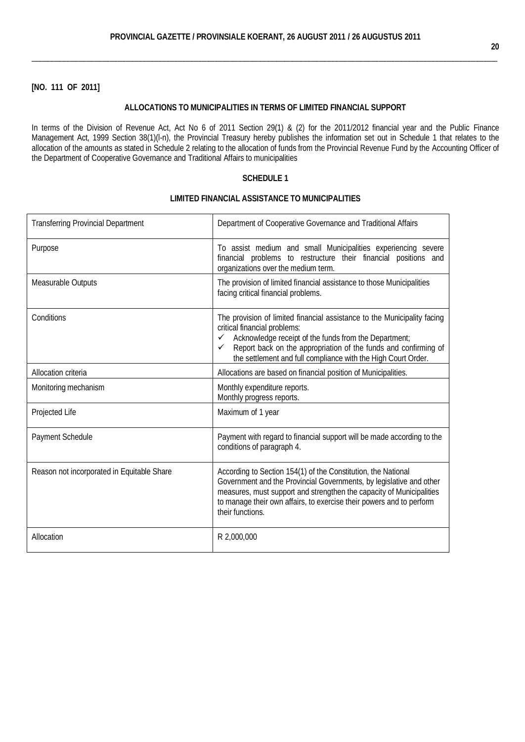## **[NO. 111 OF 2011]**

## **ALLOCATIONS TO MUNICIPALITIES IN TERMS OF LIMITED FINANCIAL SUPPORT**

In terms of the [Division of Revenue Act,](http://greengazette.co.za/acts/division-of-revenue-act_1998-028) [Act](http://greengazette.co.za/acts/act_1969-049) No 6 of 2011 Section 29(1) & (2) for the 2011/2012 financial year and the Public [Finance](http://greengazette.co.za/acts/public-finance-management-act_1999-001)  [Management Act,](http://greengazette.co.za/acts/public-finance-management-act_1999-001) 1999 Section 38(1)(l-n), the Provincial Treasury hereby publishes the information set out in Schedule 1 that relates to the allocation of the amounts as stated in Schedule 2 relating to the allocation of funds from the Provincial Revenue Fund by the Accounting Officer of the [Department of Cooperative Governance](http://greengazette.co.za/departments/governance) and Traditional Affairs to municipalities

## **SCHEDULE 1**

| <b>Transferring Provincial Department</b>  | Department of Cooperative Governance and Traditional Affairs                                                                                                                                                                                                                                                                          |
|--------------------------------------------|---------------------------------------------------------------------------------------------------------------------------------------------------------------------------------------------------------------------------------------------------------------------------------------------------------------------------------------|
| Purpose                                    | To assist medium and small Municipalities experiencing severe<br>financial problems to restructure their financial positions and<br>organizations over the medium term.                                                                                                                                                               |
| Measurable Outputs                         | The provision of limited financial assistance to those Municipalities<br>facing critical financial problems.                                                                                                                                                                                                                          |
| Conditions                                 | The provision of limited financial assistance to the Municipality facing<br>critical financial problems:<br>Acknowledge receipt of the funds from the Department;<br>$\checkmark$<br>Report back on the appropriation of the funds and confirming of<br>$\checkmark$<br>the settlement and full compliance with the High Court Order. |
| Allocation criteria                        | Allocations are based on financial position of Municipalities.                                                                                                                                                                                                                                                                        |
| Monitoring mechanism                       | Monthly expenditure reports.<br>Monthly progress reports.                                                                                                                                                                                                                                                                             |
| Projected Life                             | Maximum of 1 year                                                                                                                                                                                                                                                                                                                     |
| Payment Schedule                           | Payment with regard to financial support will be made according to the<br>conditions of paragraph 4.                                                                                                                                                                                                                                  |
| Reason not incorporated in Equitable Share | According to Section 154(1) of the Constitution, the National<br>Government and the Provincial Governments, by legislative and other<br>measures, must support and strengthen the capacity of Municipalities<br>to manage their own affairs, to exercise their powers and to perform<br>their functions.                              |
| Allocation                                 | R 2,000,000                                                                                                                                                                                                                                                                                                                           |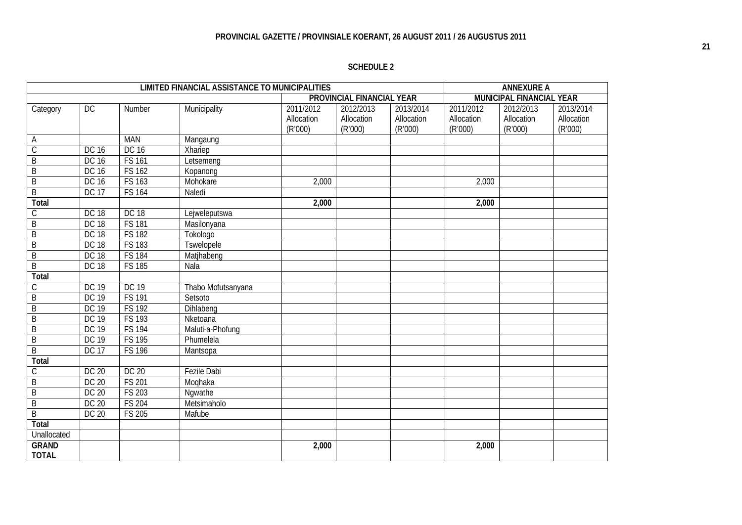|                              |              |               | LIMITED FINANCIAL ASSISTANCE TO MUNICIPALITIES |                                    |                                    |                                    |                                    | <b>ANNEXURE A</b>                  |                                    |
|------------------------------|--------------|---------------|------------------------------------------------|------------------------------------|------------------------------------|------------------------------------|------------------------------------|------------------------------------|------------------------------------|
|                              |              |               |                                                |                                    | PROVINCIAL FINANCIAL YEAR          |                                    |                                    | MUNICIPAL FINANCIAL YEAR           |                                    |
| Category                     | DC           | Number        | Municipality                                   | 2011/2012<br>Allocation<br>(R'000) | 2012/2013<br>Allocation<br>(R'000) | 2013/2014<br>Allocation<br>(R'000) | 2011/2012<br>Allocation<br>(R'000) | 2012/2013<br>Allocation<br>(R'000) | 2013/2014<br>Allocation<br>(R'000) |
| Α                            |              | <b>MAN</b>    | Mangaung                                       |                                    |                                    |                                    |                                    |                                    |                                    |
| $\mathcal{C}$                | DC 16        | DC 16         | Xhariep                                        |                                    |                                    |                                    |                                    |                                    |                                    |
| B                            | DC 16        | <b>FS 161</b> | Letsemeng                                      |                                    |                                    |                                    |                                    |                                    |                                    |
| B                            | DC 16        | <b>FS 162</b> | Kopanong                                       |                                    |                                    |                                    |                                    |                                    |                                    |
| B                            | DC 16        | FS 163        | Mohokare                                       | 2,000                              |                                    |                                    | 2,000                              |                                    |                                    |
| $\overline{B}$               | <b>DC 17</b> | <b>FS 164</b> | Naledi                                         |                                    |                                    |                                    |                                    |                                    |                                    |
| Total                        |              |               |                                                | 2,000                              |                                    |                                    | 2,000                              |                                    |                                    |
| С                            | <b>DC 18</b> | <b>DC 18</b>  | Lejweleputswa                                  |                                    |                                    |                                    |                                    |                                    |                                    |
| $\overline{B}$               | <b>DC 18</b> | <b>FS 181</b> | Masilonyana                                    |                                    |                                    |                                    |                                    |                                    |                                    |
| $\overline{B}$               | <b>DC 18</b> | <b>FS 182</b> | Tokologo                                       |                                    |                                    |                                    |                                    |                                    |                                    |
| $\overline{B}$               | <b>DC 18</b> | <b>FS 183</b> | <b>Tswelopele</b>                              |                                    |                                    |                                    |                                    |                                    |                                    |
| $\overline{B}$               | <b>DC 18</b> | <b>FS 184</b> | Matjhabeng                                     |                                    |                                    |                                    |                                    |                                    |                                    |
| $\overline{B}$               | <b>DC 18</b> | <b>FS 185</b> | Nala                                           |                                    |                                    |                                    |                                    |                                    |                                    |
| <b>Total</b>                 |              |               |                                                |                                    |                                    |                                    |                                    |                                    |                                    |
| C                            | <b>DC 19</b> | <b>DC 19</b>  | Thabo Mofutsanyana                             |                                    |                                    |                                    |                                    |                                    |                                    |
| $\overline{B}$               | <b>DC 19</b> | <b>FS 191</b> | Setsoto                                        |                                    |                                    |                                    |                                    |                                    |                                    |
| B                            | <b>DC 19</b> | <b>FS 192</b> | Dihlabeng                                      |                                    |                                    |                                    |                                    |                                    |                                    |
| $\mathsf B$                  | DC 19        | FS 193        | Nketoana                                       |                                    |                                    |                                    |                                    |                                    |                                    |
| $\overline{B}$               | <b>DC 19</b> | <b>FS 194</b> | Maluti-a-Phofung                               |                                    |                                    |                                    |                                    |                                    |                                    |
| $\overline{B}$               | <b>DC 19</b> | <b>FS 195</b> | Phumelela                                      |                                    |                                    |                                    |                                    |                                    |                                    |
| $\overline{B}$               | <b>DC 17</b> | <b>FS 196</b> | Mantsopa                                       |                                    |                                    |                                    |                                    |                                    |                                    |
| Total                        |              |               |                                                |                                    |                                    |                                    |                                    |                                    |                                    |
| С                            | DC 20        | <b>DC 20</b>  | Fezile Dabi                                    |                                    |                                    |                                    |                                    |                                    |                                    |
| $\overline{B}$               | DC 20        | <b>FS 201</b> | Moghaka                                        |                                    |                                    |                                    |                                    |                                    |                                    |
| $\overline{B}$               | DC 20        | <b>FS 203</b> | Ngwathe                                        |                                    |                                    |                                    |                                    |                                    |                                    |
| B                            | DC 20        | <b>FS 204</b> | Metsimaholo                                    |                                    |                                    |                                    |                                    |                                    |                                    |
| $\overline{B}$               | DC 20        | <b>FS 205</b> | Mafube                                         |                                    |                                    |                                    |                                    |                                    |                                    |
| <b>Total</b>                 |              |               |                                                |                                    |                                    |                                    |                                    |                                    |                                    |
| Unallocated                  |              |               |                                                |                                    |                                    |                                    |                                    |                                    |                                    |
| <b>GRAND</b><br><b>TOTAL</b> |              |               |                                                | 2,000                              |                                    |                                    | 2,000                              |                                    |                                    |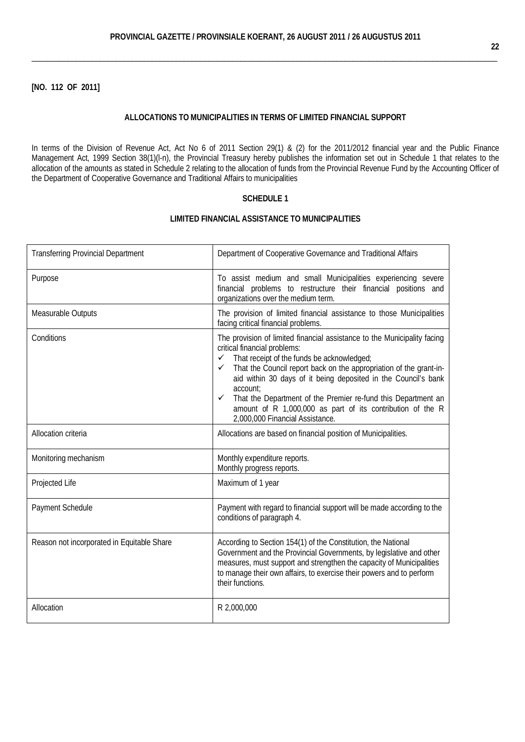## **[NO. 112 OF 2011]**

#### **ALLOCATIONS TO MUNICIPALITIES IN TERMS OF LIMITED FINANCIAL SUPPORT**

In terms of the [Division of Revenue Act,](http://greengazette.co.za/acts/division-of-revenue-act_1998-028) [Act](http://greengazette.co.za/acts/act_1969-049) No 6 of 2011 Section 29(1) & (2) for the 2011/2012 financial year and the Public [Finance](http://greengazette.co.za/acts/public-finance-management-act_1999-001)  [Management Act,](http://greengazette.co.za/acts/public-finance-management-act_1999-001) 1999 Section 38(1)(l-n), the Provincial Treasury hereby publishes the information set out in Schedule 1 that relates to the allocation of the amounts as stated in Schedule 2 relating to the allocation of funds from the Provincial Revenue Fund by the Accounting Officer of the [Department of Cooperative Governance](http://greengazette.co.za/departments/governance) and Traditional Affairs to municipalities

#### **SCHEDULE 1**

| <b>Transferring Provincial Department</b>  | Department of Cooperative Governance and Traditional Affairs                                                                                                                                                                                                                                                                                                                                                                                                                                                              |
|--------------------------------------------|---------------------------------------------------------------------------------------------------------------------------------------------------------------------------------------------------------------------------------------------------------------------------------------------------------------------------------------------------------------------------------------------------------------------------------------------------------------------------------------------------------------------------|
| Purpose                                    | To assist medium and small Municipalities experiencing severe<br>financial problems to restructure their financial positions and<br>organizations over the medium term.                                                                                                                                                                                                                                                                                                                                                   |
| Measurable Outputs                         | The provision of limited financial assistance to those Municipalities<br>facing critical financial problems.                                                                                                                                                                                                                                                                                                                                                                                                              |
| Conditions                                 | The provision of limited financial assistance to the Municipality facing<br>critical financial problems:<br>$\checkmark$ That receipt of the funds be acknowledged;<br>That the Council report back on the appropriation of the grant-in-<br>$\checkmark$<br>aid within 30 days of it being deposited in the Council's bank<br>account:<br>That the Department of the Premier re-fund this Department an<br>$\checkmark$<br>amount of R 1,000,000 as part of its contribution of the R<br>2,000,000 Financial Assistance. |
| Allocation criteria                        | Allocations are based on financial position of Municipalities.                                                                                                                                                                                                                                                                                                                                                                                                                                                            |
| Monitoring mechanism                       | Monthly expenditure reports.<br>Monthly progress reports.                                                                                                                                                                                                                                                                                                                                                                                                                                                                 |
| Projected Life                             | Maximum of 1 year                                                                                                                                                                                                                                                                                                                                                                                                                                                                                                         |
| Payment Schedule                           | Payment with regard to financial support will be made according to the<br>conditions of paragraph 4.                                                                                                                                                                                                                                                                                                                                                                                                                      |
| Reason not incorporated in Equitable Share | According to Section 154(1) of the Constitution, the National<br>Government and the Provincial Governments, by legislative and other<br>measures, must support and strengthen the capacity of Municipalities<br>to manage their own affairs, to exercise their powers and to perform<br>their functions.                                                                                                                                                                                                                  |
| Allocation                                 | R 2,000,000                                                                                                                                                                                                                                                                                                                                                                                                                                                                                                               |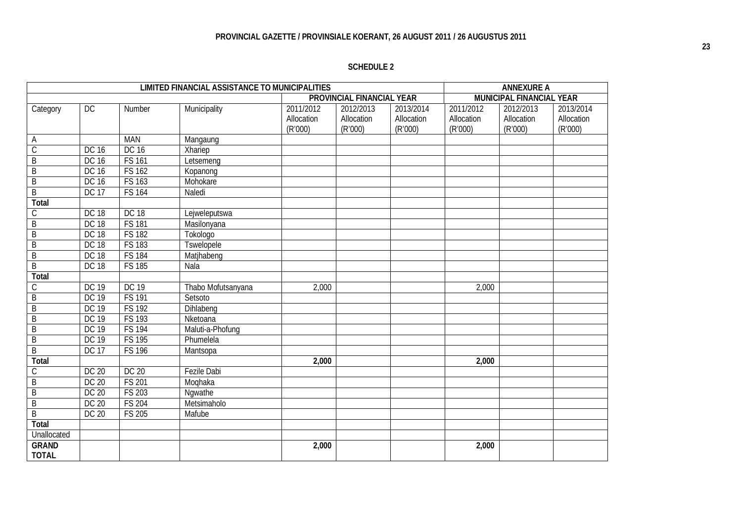| <b>LIMITED FINANCIAL ASSISTANCE TO MUNICIPALITIES</b> |              |               |                    |                                    | <b>ANNEXURE A</b>                  |                                    |                                    |                                    |                                    |
|-------------------------------------------------------|--------------|---------------|--------------------|------------------------------------|------------------------------------|------------------------------------|------------------------------------|------------------------------------|------------------------------------|
|                                                       |              |               |                    | PROVINCIAL FINANCIAL YEAR          |                                    |                                    | MUNICIPAL FINANCIAL YEAR           |                                    |                                    |
| Category                                              | DC           | Number        | Municipality       | 2011/2012<br>Allocation<br>(R'000) | 2012/2013<br>Allocation<br>(R'000) | 2013/2014<br>Allocation<br>(R'000) | 2011/2012<br>Allocation<br>(R'000) | 2012/2013<br>Allocation<br>(R'000) | 2013/2014<br>Allocation<br>(R'000) |
| A                                                     |              | <b>MAN</b>    | Mangaung           |                                    |                                    |                                    |                                    |                                    |                                    |
| $\overline{C}$                                        | DC 16        | DC 16         | Xhariep            |                                    |                                    |                                    |                                    |                                    |                                    |
| B                                                     | DC 16        | <b>FS 161</b> | Letsemeng          |                                    |                                    |                                    |                                    |                                    |                                    |
| B                                                     | DC 16        | <b>FS 162</b> | Kopanong           |                                    |                                    |                                    |                                    |                                    |                                    |
| B                                                     | DC 16        | <b>FS 163</b> | Mohokare           |                                    |                                    |                                    |                                    |                                    |                                    |
| $\overline{B}$                                        | <b>DC 17</b> | <b>FS 164</b> | Naledi             |                                    |                                    |                                    |                                    |                                    |                                    |
| Total                                                 |              |               |                    |                                    |                                    |                                    |                                    |                                    |                                    |
| C                                                     | <b>DC 18</b> | <b>DC 18</b>  | Lejweleputswa      |                                    |                                    |                                    |                                    |                                    |                                    |
| B                                                     | <b>DC 18</b> | <b>FS 181</b> | Masilonyana        |                                    |                                    |                                    |                                    |                                    |                                    |
| $\overline{B}$                                        | <b>DC 18</b> | <b>FS 182</b> | Tokologo           |                                    |                                    |                                    |                                    |                                    |                                    |
| $\overline{B}$                                        | <b>DC 18</b> | <b>FS 183</b> | Tswelopele         |                                    |                                    |                                    |                                    |                                    |                                    |
| B                                                     | <b>DC 18</b> | <b>FS 184</b> | Matjhabeng         |                                    |                                    |                                    |                                    |                                    |                                    |
| $\overline{B}$                                        | <b>DC 18</b> | <b>FS 185</b> | Nala               |                                    |                                    |                                    |                                    |                                    |                                    |
| Total                                                 |              |               |                    |                                    |                                    |                                    |                                    |                                    |                                    |
| $\mathcal{C}$                                         | <b>DC 19</b> | <b>DC 19</b>  | Thabo Mofutsanyana | 2,000                              |                                    |                                    | 2,000                              |                                    |                                    |
| B                                                     | <b>DC 19</b> | <b>FS 191</b> | Setsoto            |                                    |                                    |                                    |                                    |                                    |                                    |
| $\overline{B}$                                        | <b>DC 19</b> | <b>FS 192</b> | Dihlabeng          |                                    |                                    |                                    |                                    |                                    |                                    |
| B                                                     | <b>DC 19</b> | <b>FS 193</b> | Nketoana           |                                    |                                    |                                    |                                    |                                    |                                    |
| B                                                     | DC 19        | <b>FS 194</b> | Maluti-a-Phofung   |                                    |                                    |                                    |                                    |                                    |                                    |
| $\overline{B}$                                        | <b>DC 19</b> | <b>FS 195</b> | Phumelela          |                                    |                                    |                                    |                                    |                                    |                                    |
| $\overline{B}$                                        | <b>DC 17</b> | <b>FS 196</b> | Mantsopa           |                                    |                                    |                                    |                                    |                                    |                                    |
| Total                                                 |              |               |                    | 2,000                              |                                    |                                    | 2,000                              |                                    |                                    |
| C                                                     | DC 20        | <b>DC 20</b>  | <b>Fezile Dabi</b> |                                    |                                    |                                    |                                    |                                    |                                    |
| B                                                     | DC 20        | <b>FS 201</b> | Moghaka            |                                    |                                    |                                    |                                    |                                    |                                    |
| $\overline{B}$                                        | DC 20        | <b>FS 203</b> | Nqwathe            |                                    |                                    |                                    |                                    |                                    |                                    |
| B                                                     | DC 20        | <b>FS 204</b> | Metsimaholo        |                                    |                                    |                                    |                                    |                                    |                                    |
| $\overline{B}$                                        | DC 20        | <b>FS 205</b> | Mafube             |                                    |                                    |                                    |                                    |                                    |                                    |
| Total                                                 |              |               |                    |                                    |                                    |                                    |                                    |                                    |                                    |
| Unallocated                                           |              |               |                    |                                    |                                    |                                    |                                    |                                    |                                    |
| <b>GRAND</b><br><b>TOTAL</b>                          |              |               |                    | 2,000                              |                                    |                                    | 2,000                              |                                    |                                    |